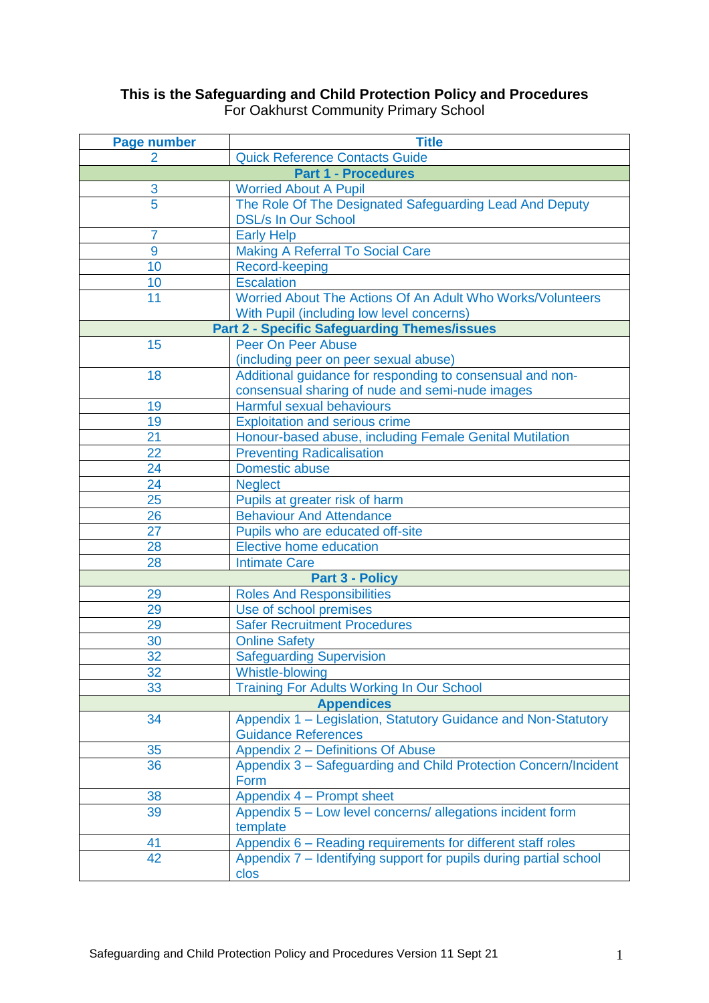# **This is the Safeguarding and Child Protection Policy and Procedures**

For Oakhurst Community Primary School

| <b>Page number</b>         | <b>Title</b>                                                                    |  |
|----------------------------|---------------------------------------------------------------------------------|--|
| 2                          | <b>Quick Reference Contacts Guide</b>                                           |  |
|                            | <b>Part 1 - Procedures</b>                                                      |  |
| 3                          | <b>Worried About A Pupil</b>                                                    |  |
| 5                          | The Role Of The Designated Safeguarding Lead And Deputy                         |  |
|                            | <b>DSL/s In Our School</b>                                                      |  |
| $\overline{7}$             | <b>Early Help</b>                                                               |  |
| 9                          | <b>Making A Referral To Social Care</b>                                         |  |
| 10                         | Record-keeping                                                                  |  |
| 10<br>11                   | <b>Escalation</b><br>Worried About The Actions Of An Adult Who Works/Volunteers |  |
|                            | With Pupil (including low level concerns)                                       |  |
|                            | <b>Part 2 - Specific Safeguarding Themes/issues</b>                             |  |
| 15                         | Peer On Peer Abuse                                                              |  |
|                            | (including peer on peer sexual abuse)                                           |  |
| 18                         | Additional guidance for responding to consensual and non-                       |  |
|                            | consensual sharing of nude and semi-nude images                                 |  |
| 19                         | Harmful sexual behaviours                                                       |  |
| 19                         | <b>Exploitation and serious crime</b>                                           |  |
| 21                         | Honour-based abuse, including Female Genital Mutilation                         |  |
| 22                         | <b>Preventing Radicalisation</b>                                                |  |
| 24                         | Domestic abuse                                                                  |  |
| 24                         | <b>Neglect</b>                                                                  |  |
| 25                         | Pupils at greater risk of harm                                                  |  |
| 26                         | <b>Behaviour And Attendance</b>                                                 |  |
| 27                         | Pupils who are educated off-site                                                |  |
| 28                         | <b>Elective home education</b>                                                  |  |
| 28<br><b>Intimate Care</b> |                                                                                 |  |
| 29                         | <b>Part 3 - Policy</b><br><b>Roles And Responsibilities</b>                     |  |
| 29                         | Use of school premises                                                          |  |
| 29                         | <b>Safer Recruitment Procedures</b>                                             |  |
| 30                         | <b>Online Safety</b>                                                            |  |
| 32                         | <b>Safeguarding Supervision</b>                                                 |  |
| 32                         | <b>Whistle-blowing</b>                                                          |  |
| 33                         | <b>Training For Adults Working In Our School</b>                                |  |
|                            | <b>Appendices</b>                                                               |  |
| 34                         | Appendix 1 - Legislation, Statutory Guidance and Non-Statutory                  |  |
|                            | <b>Guidance References</b>                                                      |  |
| 35                         | Appendix 2 - Definitions Of Abuse                                               |  |
| 36                         | Appendix 3 - Safeguarding and Child Protection Concern/Incident                 |  |
|                            | Form                                                                            |  |
| 38                         | Appendix 4 – Prompt sheet                                                       |  |
| 39                         | Appendix 5 - Low level concerns/ allegations incident form                      |  |
|                            | template                                                                        |  |
| 41                         | Appendix 6 - Reading requirements for different staff roles                     |  |
| 42                         | Appendix 7 – Identifying support for pupils during partial school               |  |
|                            | clos                                                                            |  |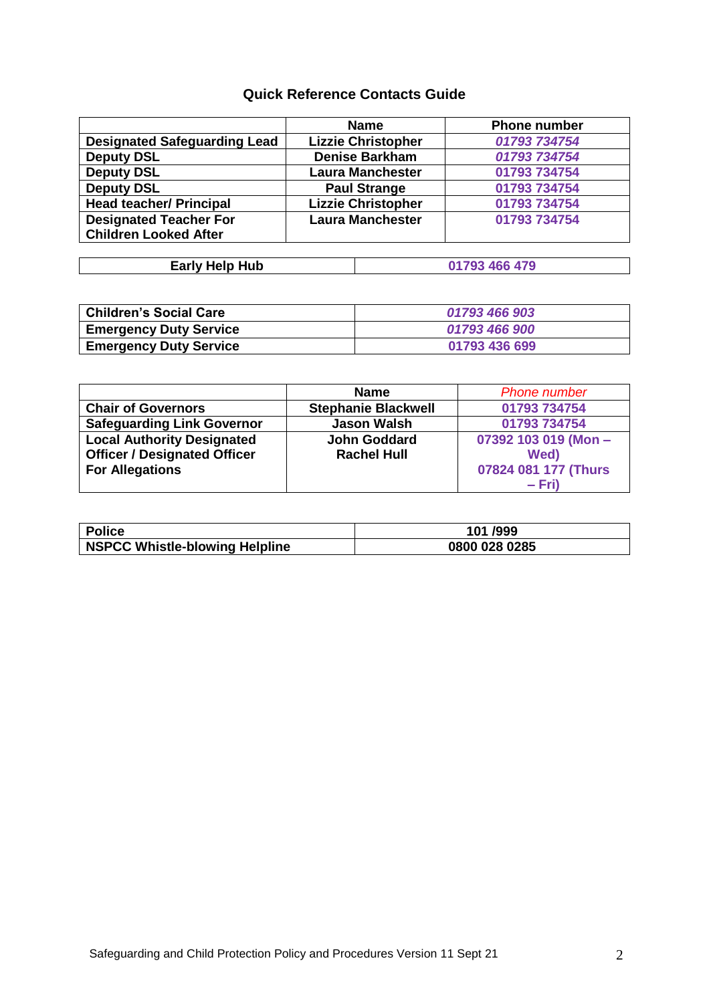# **Quick Reference Contacts Guide**

|                                                               | <b>Name</b>               | <b>Phone number</b> |
|---------------------------------------------------------------|---------------------------|---------------------|
| <b>Designated Safeguarding Lead</b>                           | <b>Lizzie Christopher</b> | 01793 734754        |
| <b>Deputy DSL</b>                                             | <b>Denise Barkham</b>     | 01793 734754        |
| <b>Deputy DSL</b>                                             | <b>Laura Manchester</b>   | 01793 734754        |
| <b>Deputy DSL</b>                                             | <b>Paul Strange</b>       | 01793 734754        |
| <b>Head teacher/ Principal</b>                                | <b>Lizzie Christopher</b> | 01793 734754        |
| <b>Designated Teacher For</b><br><b>Children Looked After</b> | <b>Laura Manchester</b>   | 01793 734754        |

| Farlv<br>dub<br>–u⊔, |  |
|----------------------|--|

| <b>Children's Social Care</b> | <i>01793 466 903</i> |
|-------------------------------|----------------------|
| <b>Emergency Duty Service</b> | <i>01793 466 900</i> |
| <b>Emergency Duty Service</b> | 01793 436 699        |

|                                     | <b>Name</b>                | <b>Phone number</b>  |
|-------------------------------------|----------------------------|----------------------|
| <b>Chair of Governors</b>           | <b>Stephanie Blackwell</b> | 01793 734754         |
| <b>Safeguarding Link Governor</b>   | <b>Jason Walsh</b>         | 01793 734754         |
| <b>Local Authority Designated</b>   | <b>John Goddard</b>        | 07392 103 019 (Mon - |
| <b>Officer / Designated Officer</b> | <b>Rachel Hull</b>         | Wed)                 |
| <b>For Allegations</b>              |                            | 07824 081 177 (Thurs |
|                                     |                            | $-$ Fri)             |

| <b>Police</b>                  | 101/999       |
|--------------------------------|---------------|
| NSPCC Whistle-blowing Helpline | 0800 028 0285 |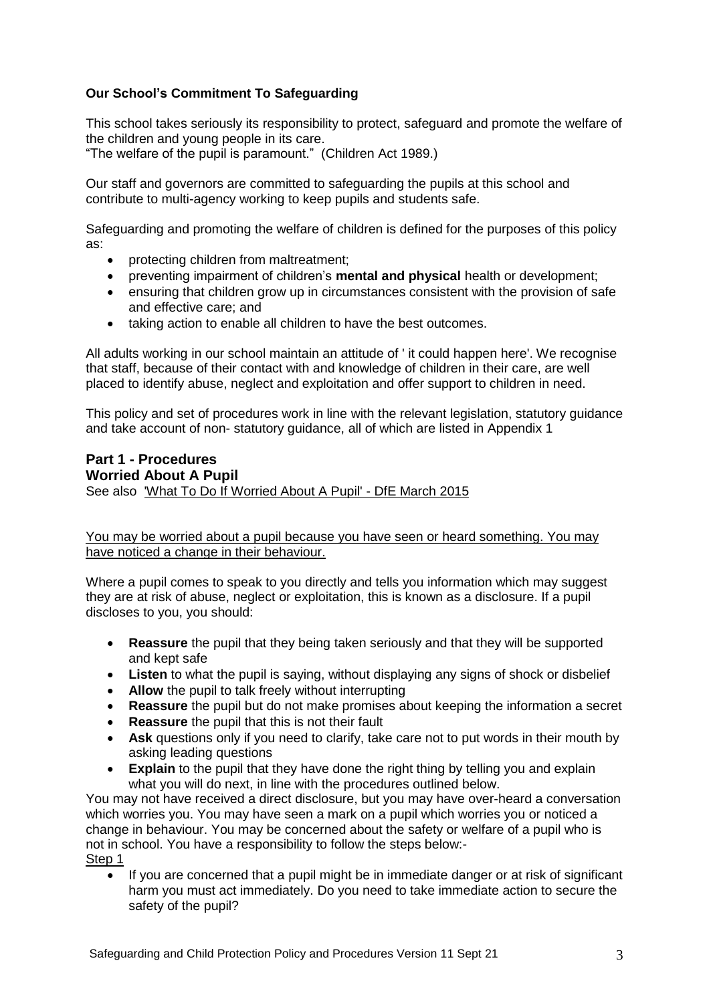## **Our School's Commitment To Safeguarding**

This school takes seriously its responsibility to protect, safeguard and promote the welfare of the children and young people in its care.

"The welfare of the pupil is paramount." (Children Act 1989.)

Our staff and governors are committed to safeguarding the pupils at this school and contribute to multi-agency working to keep pupils and students safe.

Safeguarding and promoting the welfare of children is defined for the purposes of this policy as:

- protecting children from maltreatment;
- preventing impairment of children's **mental and physical** health or development;
- ensuring that children grow up in circumstances consistent with the provision of safe and effective care; and
- taking action to enable all children to have the best outcomes.

All adults working in our school maintain an attitude of ' it could happen here'. We recognise that staff, because of their contact with and knowledge of children in their care, are well placed to identify abuse, neglect and exploitation and offer support to children in need.

This policy and set of procedures work in line with the relevant legislation, statutory guidance and take account of non- statutory guidance, all of which are listed in Appendix 1

#### **Part 1 - Procedures Worried About A Pupil** See also ['What To Do If Worried About A Pupil' -](https://www.gov.uk/government/publications/what-to-do-if-youre-worried-a-child-is-being-abused--2) DfE March 2015

You may be worried about a pupil because you have seen or heard something. You may have noticed a change in their behaviour.

Where a pupil comes to speak to you directly and tells you information which may suggest they are at risk of abuse, neglect or exploitation, this is known as a disclosure. If a pupil discloses to you, you should:

- **Reassure** the pupil that they being taken seriously and that they will be supported and kept safe
- **Listen** to what the pupil is saying, without displaying any signs of shock or disbelief
- **Allow** the pupil to talk freely without interrupting
- **Reassure** the pupil but do not make promises about keeping the information a secret
- **Reassure** the pupil that this is not their fault
- **Ask** questions only if you need to clarify, take care not to put words in their mouth by asking leading questions
- **Explain** to the pupil that they have done the right thing by telling you and explain what you will do next, in line with the procedures outlined below.

You may not have received a direct disclosure, but you may have over-heard a conversation which worries you. You may have seen a mark on a pupil which worries you or noticed a change in behaviour. You may be concerned about the safety or welfare of a pupil who is not in school. You have a responsibility to follow the steps below:- Step 1

• If you are concerned that a pupil might be in immediate danger or at risk of significant harm you must act immediately. Do you need to take immediate action to secure the safety of the pupil?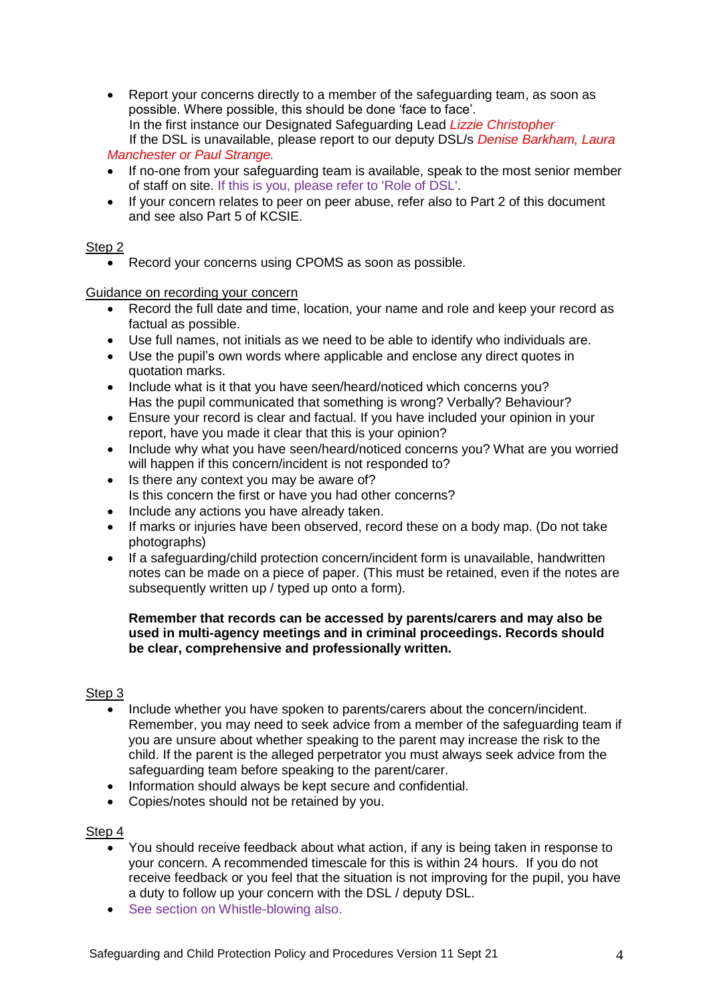• Report your concerns directly to a member of the safeguarding team, as soon as possible. Where possible, this should be done 'face to face'. In the first instance our Designated Safeguarding Lead *Lizzie Christopher* If the DSL is unavailable, please report to our deputy DSL/s *Denise Barkham, Laura* 

*Manchester or Paul Strange.*

- If no-one from your safeguarding team is available, speak to the most senior member of staff on site. If this is you, please refer to 'Role of DSL'.
- If your concern relates to peer on peer abuse, refer also to Part 2 of this document and see also Part 5 of KCSIE.

## Step 2

Record your concerns using CPOMS as soon as possible.

Guidance on recording your concern

- Record the full date and time, location, your name and role and keep your record as factual as possible.
- Use full names, not initials as we need to be able to identify who individuals are.
- Use the pupil's own words where applicable and enclose any direct quotes in quotation marks.
- Include what is it that you have seen/heard/noticed which concerns you? Has the pupil communicated that something is wrong? Verbally? Behaviour?
- Ensure your record is clear and factual. If you have included your opinion in your report, have you made it clear that this is your opinion?
- Include why what you have seen/heard/noticed concerns you? What are you worried will happen if this concern/incident is not responded to?
- Is there any context you may be aware of? Is this concern the first or have you had other concerns?
- Include any actions you have already taken.
- If marks or injuries have been observed, record these on a body map. (Do not take photographs)
- If a safeguarding/child protection concern/incident form is unavailable, handwritten notes can be made on a piece of paper. (This must be retained, even if the notes are subsequently written up / typed up onto a form).

## **Remember that records can be accessed by parents/carers and may also be used in multi-agency meetings and in criminal proceedings. Records should be clear, comprehensive and professionally written.**

## Step 3

- Include whether you have spoken to parents/carers about the concern/incident. Remember, you may need to seek advice from a member of the safeguarding team if you are unsure about whether speaking to the parent may increase the risk to the child. If the parent is the alleged perpetrator you must always seek advice from the safeguarding team before speaking to the parent/carer.
- Information should always be kept secure and confidential.
- Copies/notes should not be retained by you.

#### Step 4

- You should receive feedback about what action, if any is being taken in response to your concern. A recommended timescale for this is within 24 hours. If you do not receive feedback or you feel that the situation is not improving for the pupil, you have a duty to follow up your concern with the DSL / deputy DSL.
- See section on Whistle-blowing also.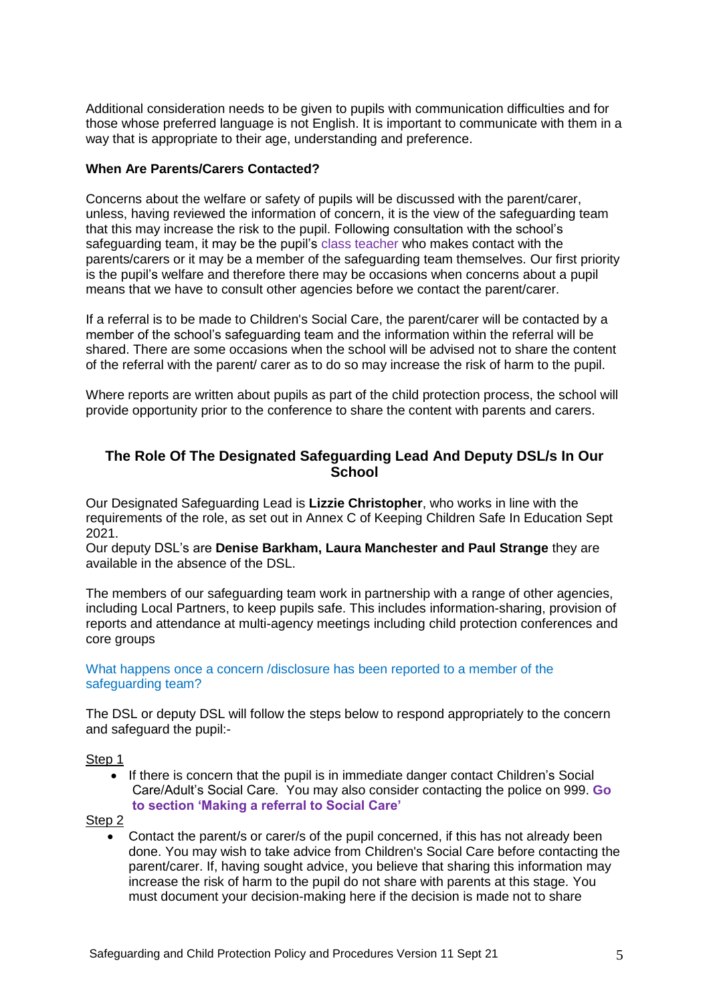Additional consideration needs to be given to pupils with communication difficulties and for those whose preferred language is not English. It is important to communicate with them in a way that is appropriate to their age, understanding and preference.

### **When Are Parents/Carers Contacted?**

Concerns about the welfare or safety of pupils will be discussed with the parent/carer, unless, having reviewed the information of concern, it is the view of the safeguarding team that this may increase the risk to the pupil. Following consultation with the school's safeguarding team, it may be the pupil's class teacher who makes contact with the parents/carers or it may be a member of the safeguarding team themselves. Our first priority is the pupil's welfare and therefore there may be occasions when concerns about a pupil means that we have to consult other agencies before we contact the parent/carer.

If a referral is to be made to Children's Social Care, the parent/carer will be contacted by a member of the school's safeguarding team and the information within the referral will be shared. There are some occasions when the school will be advised not to share the content of the referral with the parent/ carer as to do so may increase the risk of harm to the pupil.

Where reports are written about pupils as part of the child protection process, the school will provide opportunity prior to the conference to share the content with parents and carers.

## **The Role Of The Designated Safeguarding Lead And Deputy DSL/s In Our School**

Our Designated Safeguarding Lead is **Lizzie Christopher**, who works in line with the requirements of the role, as set out in Annex C of Keeping Children Safe In Education Sept 2021.

Our deputy DSL's are **Denise Barkham, Laura Manchester and Paul Strange** they are available in the absence of the DSL.

The members of our safeguarding team work in partnership with a range of other agencies, including Local Partners, to keep pupils safe. This includes information-sharing, provision of reports and attendance at multi-agency meetings including child protection conferences and core groups

#### What happens once a concern /disclosure has been reported to a member of the safeguarding team?

The DSL or deputy DSL will follow the steps below to respond appropriately to the concern and safeguard the pupil:-

#### Step 1

• If there is concern that the pupil is in immediate danger contact Children's Social Care/Adult's Social Care. You may also consider contacting the police on 999. **Go to section 'Making a referral to Social Care'** 

#### Step 2

• Contact the parent/s or carer/s of the pupil concerned, if this has not already been done. You may wish to take advice from Children's Social Care before contacting the parent/carer. If, having sought advice, you believe that sharing this information may increase the risk of harm to the pupil do not share with parents at this stage. You must document your decision-making here if the decision is made not to share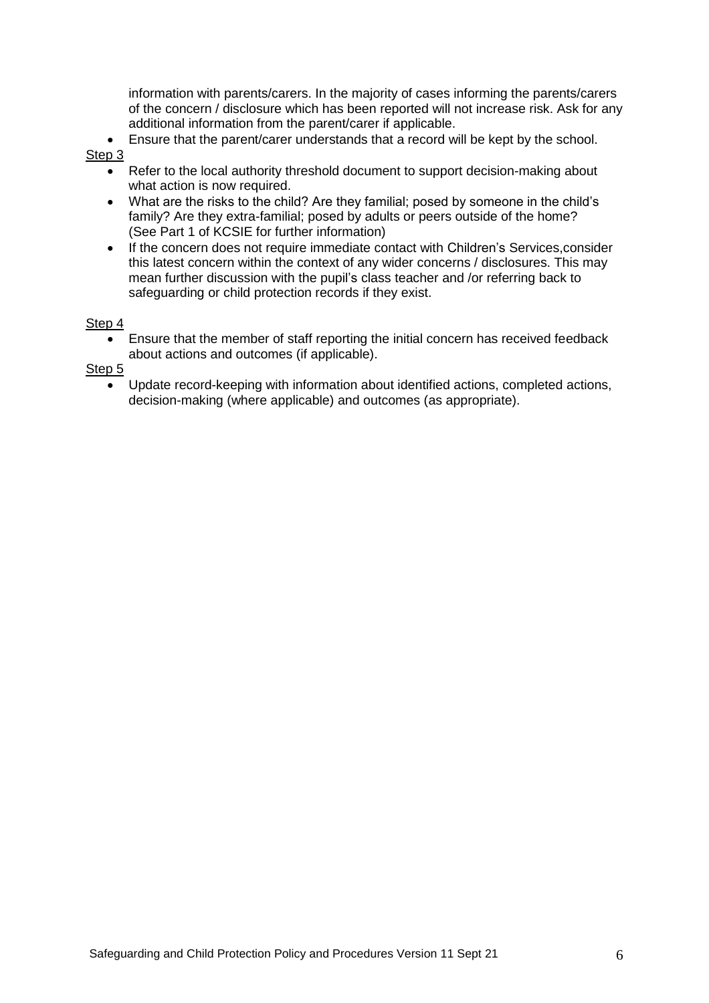information with parents/carers. In the majority of cases informing the parents/carers of the concern / disclosure which has been reported will not increase risk. Ask for any additional information from the parent/carer if applicable.

- Ensure that the parent/carer understands that a record will be kept by the school. Step 3
	- Refer to the local authority threshold document to support decision-making about what action is now required.
	- What are the risks to the child? Are they familial; posed by someone in the child's family? Are they extra-familial; posed by adults or peers outside of the home? (See Part 1 of KCSIE for further information)
	- If the concern does not require immediate contact with Children's Services,consider this latest concern within the context of any wider concerns / disclosures. This may mean further discussion with the pupil's class teacher and /or referring back to safeguarding or child protection records if they exist.

## Step 4

• Ensure that the member of staff reporting the initial concern has received feedback about actions and outcomes (if applicable).

Step 5

• Update record-keeping with information about identified actions, completed actions, decision-making (where applicable) and outcomes (as appropriate).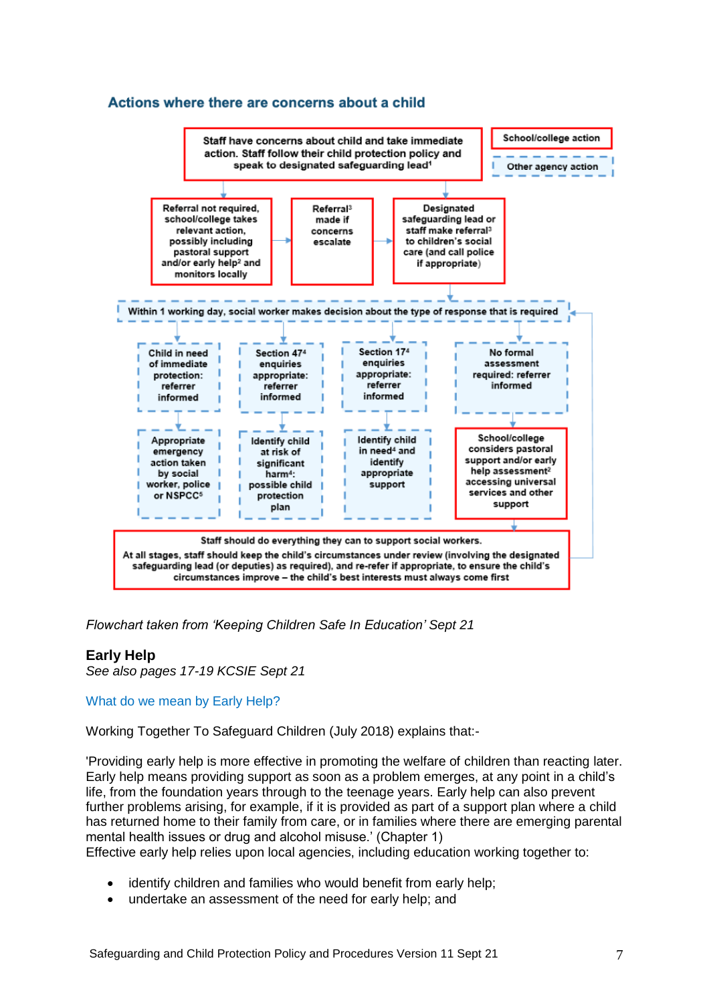## Actions where there are concerns about a child



*Flowchart taken from 'Keeping Children Safe In Education' Sept 21*

## **Early Help**

*See also pages 17-19 KCSIE Sept 21*

#### What do we mean by Early Help?

Working Together To Safeguard Children (July 2018) explains that:-

'Providing early help is more effective in promoting the welfare of children than reacting later. Early help means providing support as soon as a problem emerges, at any point in a child's life, from the foundation years through to the teenage years. Early help can also prevent further problems arising, for example, if it is provided as part of a support plan where a child has returned home to their family from care, or in families where there are emerging parental mental health issues or drug and alcohol misuse.' (Chapter 1)

Effective early help relies upon local agencies, including education working together to:

- identify children and families who would benefit from early help;
- undertake an assessment of the need for early help; and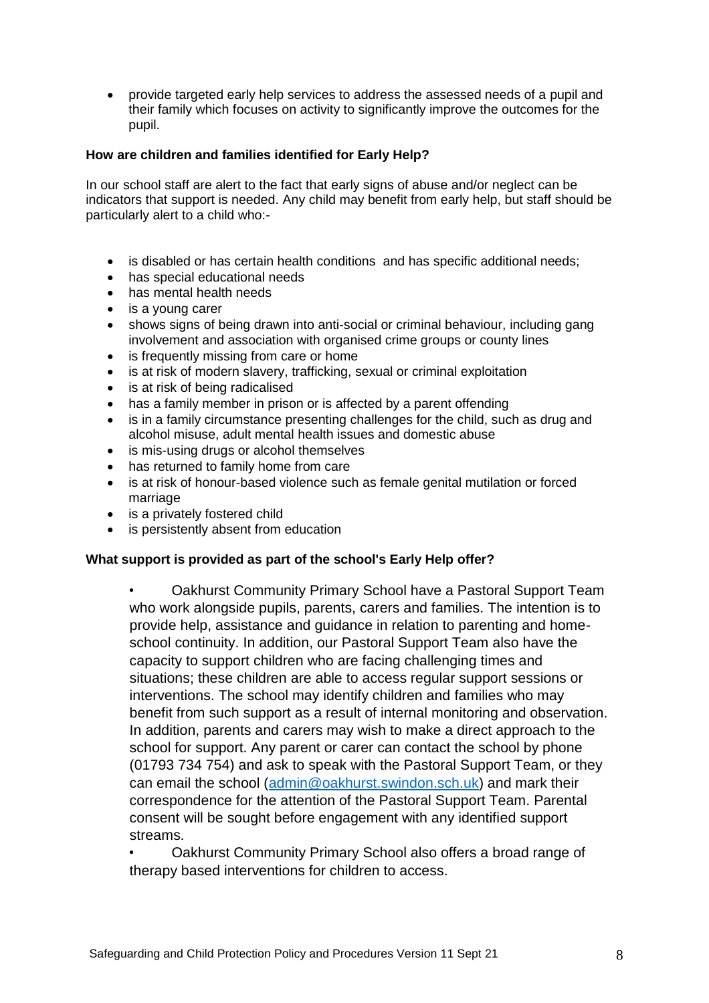• provide targeted early help services to address the assessed needs of a pupil and their family which focuses on activity to significantly improve the outcomes for the pupil.

## **How are children and families identified for Early Help?**

In our school staff are alert to the fact that early signs of abuse and/or neglect can be indicators that support is needed. Any child may benefit from early help, but staff should be particularly alert to a child who:-

- is disabled or has certain health conditions and has specific additional needs;
- has special educational needs
- has mental health needs
- is a young carer
- shows signs of being drawn into anti-social or criminal behaviour, including gang involvement and association with organised crime groups or county lines
- is frequently missing from care or home
- is at risk of modern slavery, trafficking, sexual or criminal exploitation
- is at risk of being radicalised
- has a family member in prison or is affected by a parent offending
- is in a family circumstance presenting challenges for the child, such as drug and alcohol misuse, adult mental health issues and domestic abuse
- is mis-using drugs or alcohol themselves
- has returned to family home from care
- is at risk of honour-based violence such as female genital mutilation or forced marriage
- is a privately fostered child
- is persistently absent from education

## **What support is provided as part of the school's Early Help offer?**

• Oakhurst Community Primary School have a Pastoral Support Team who work alongside pupils, parents, carers and families. The intention is to provide help, assistance and guidance in relation to parenting and homeschool continuity. In addition, our Pastoral Support Team also have the capacity to support children who are facing challenging times and situations; these children are able to access regular support sessions or interventions. The school may identify children and families who may benefit from such support as a result of internal monitoring and observation. In addition, parents and carers may wish to make a direct approach to the school for support. Any parent or carer can contact the school by phone (01793 734 754) and ask to speak with the Pastoral Support Team, or they can email the school (admin@oakhurst.swindon.sch.uk) and mark their correspondence for the attention of the Pastoral Support Team. Parental consent will be sought before engagement with any identified support streams.

• Oakhurst Community Primary School also offers a broad range of therapy based interventions for children to access.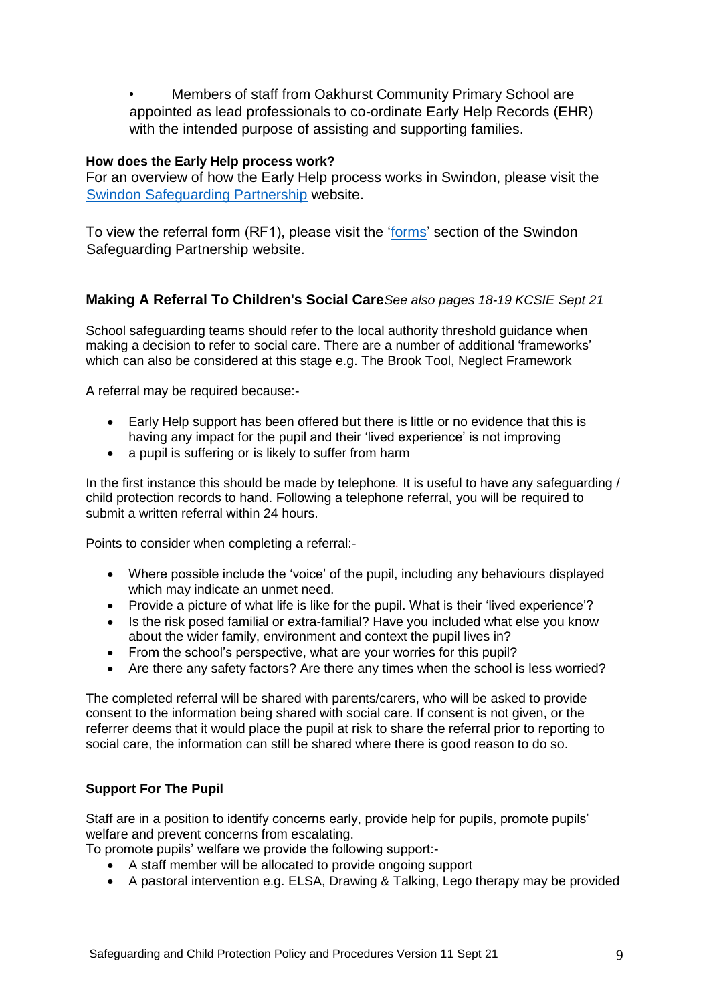• Members of staff from Oakhurst Community Primary School are appointed as lead professionals to co-ordinate Early Help Records (EHR) with the intended purpose of assisting and supporting families.

## **How does the Early Help process work?**

For an overview of how the Early Help process works in Swindon, please visit the [Swindon Safeguarding Partnership](https://safeguardingpartnership.swindon.gov.uk/) [we](https://safeguardingpartnership.swindon.gov.uk/)bsite.

To view the referral form (RF1), please visit the ['forms' s](https://safeguardingpartnership.swindon.gov.uk/info/3/workers_and_volunteers/10/workers_and_volunteers/8)ection of the Swindon Safeguarding Partnership website.

## **Making A Referral To Children's Social Care***See also pages 18-19 KCSIE Sept 21*

School safeguarding teams should refer to the local authority threshold guidance when making a decision to refer to social care. There are a number of additional 'frameworks' which can also be considered at this stage e.g. The Brook Tool, Neglect Framework

A referral may be required because:-

- Early Help support has been offered but there is little or no evidence that this is having any impact for the pupil and their 'lived experience' is not improving
- a pupil is suffering or is likely to suffer from harm

In the first instance this should be made by telephone*.* It is useful to have any safeguarding / child protection records to hand. Following a telephone referral, you will be required to submit a written referral within 24 hours.

Points to consider when completing a referral:-

- Where possible include the 'voice' of the pupil, including any behaviours displayed which may indicate an unmet need.
- Provide a picture of what life is like for the pupil. What is their 'lived experience'?
- Is the risk posed familial or extra-familial? Have you included what else you know about the wider family, environment and context the pupil lives in?
- From the school's perspective, what are your worries for this pupil?
- Are there any safety factors? Are there any times when the school is less worried?

The completed referral will be shared with parents/carers, who will be asked to provide consent to the information being shared with social care. If consent is not given, or the referrer deems that it would place the pupil at risk to share the referral prior to reporting to social care, the information can still be shared where there is good reason to do so.

## **Support For The Pupil**

Staff are in a position to identify concerns early, provide help for pupils, promote pupils' welfare and prevent concerns from escalating.

To promote pupils' welfare we provide the following support:-

- A staff member will be allocated to provide ongoing support
- A pastoral intervention e.g. ELSA, Drawing & Talking, Lego therapy may be provided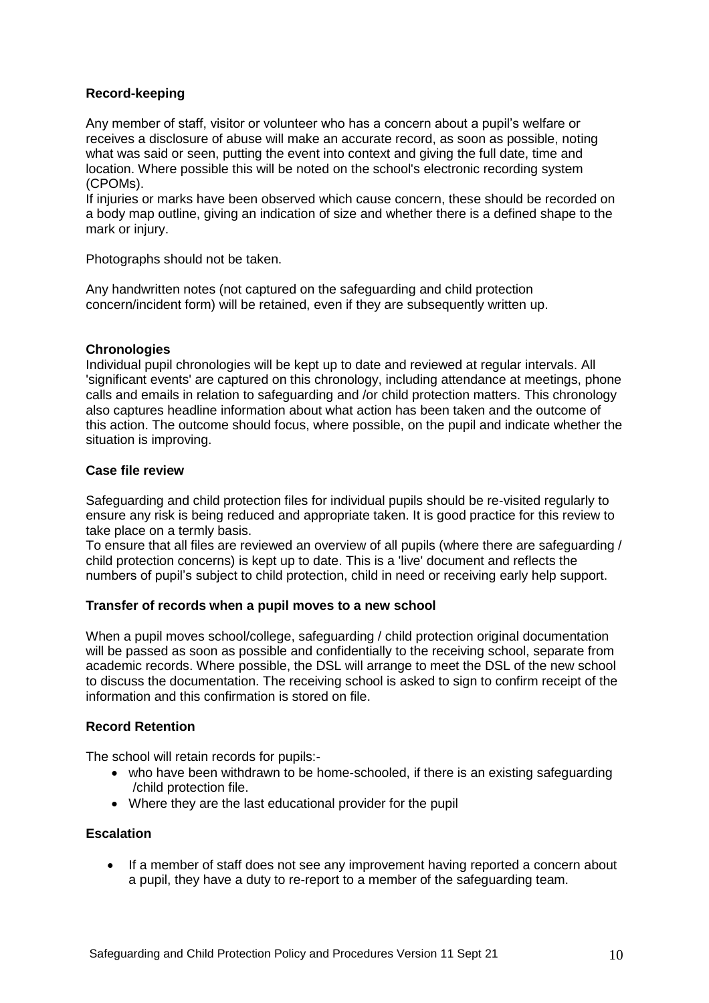## **Record-keeping**

Any member of staff, visitor or volunteer who has a concern about a pupil's welfare or receives a disclosure of abuse will make an accurate record, as soon as possible, noting what was said or seen, putting the event into context and giving the full date, time and location. Where possible this will be noted on the school's electronic recording system (CPOMs).

If injuries or marks have been observed which cause concern, these should be recorded on a body map outline, giving an indication of size and whether there is a defined shape to the mark or injury.

Photographs should not be taken.

Any handwritten notes (not captured on the safeguarding and child protection concern/incident form) will be retained, even if they are subsequently written up.

## **Chronologies**

Individual pupil chronologies will be kept up to date and reviewed at regular intervals. All 'significant events' are captured on this chronology, including attendance at meetings, phone calls and emails in relation to safeguarding and /or child protection matters. This chronology also captures headline information about what action has been taken and the outcome of this action. The outcome should focus, where possible, on the pupil and indicate whether the situation is improving.

### **Case file review**

Safeguarding and child protection files for individual pupils should be re-visited regularly to ensure any risk is being reduced and appropriate taken. It is good practice for this review to take place on a termly basis.

To ensure that all files are reviewed an overview of all pupils (where there are safeguarding / child protection concerns) is kept up to date. This is a 'live' document and reflects the numbers of pupil's subject to child protection, child in need or receiving early help support.

## **Transfer of records when a pupil moves to a new school**

When a pupil moves school/college, safeguarding / child protection original documentation will be passed as soon as possible and confidentially to the receiving school, separate from academic records. Where possible, the DSL will arrange to meet the DSL of the new school to discuss the documentation. The receiving school is asked to sign to confirm receipt of the information and this confirmation is stored on file.

## **Record Retention**

The school will retain records for pupils:-

- who have been withdrawn to be home-schooled, if there is an existing safeguarding /child protection file.
- Where they are the last educational provider for the pupil

## **Escalation**

• If a member of staff does not see any improvement having reported a concern about a pupil, they have a duty to re-report to a member of the safeguarding team.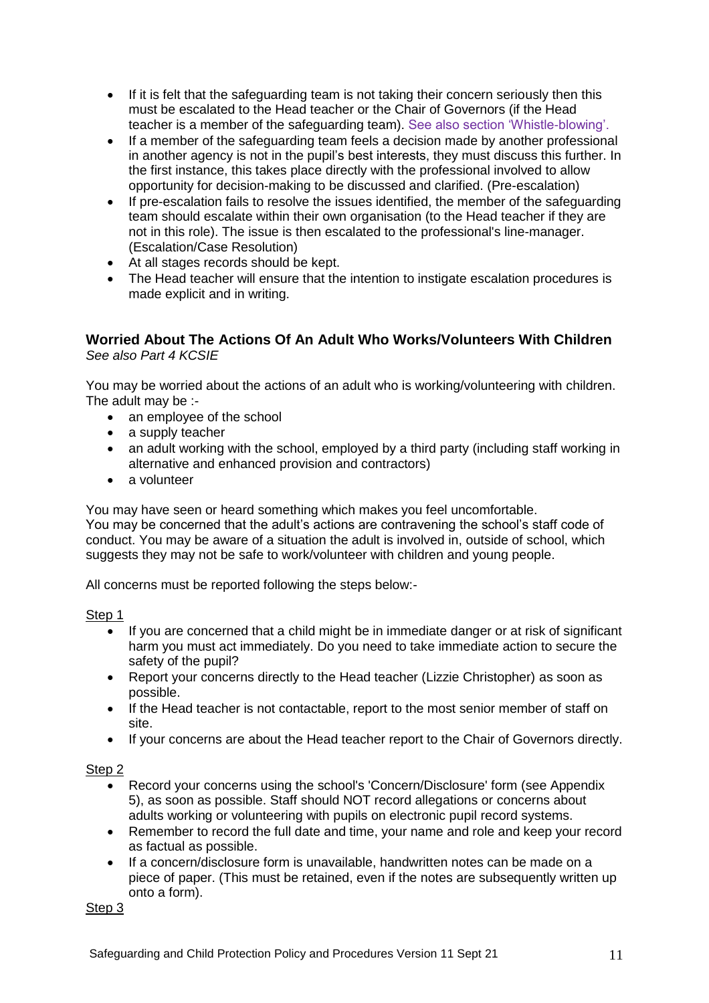- If it is felt that the safeguarding team is not taking their concern seriously then this must be escalated to the Head teacher or the Chair of Governors (if the Head teacher is a member of the safeguarding team). See also section 'Whistle-blowing'.
- If a member of the safeguarding team feels a decision made by another professional in another agency is not in the pupil's best interests, they must discuss this further. In the first instance, this takes place directly with the professional involved to allow opportunity for decision-making to be discussed and clarified. (Pre-escalation)
- If pre-escalation fails to resolve the issues identified, the member of the safeguarding team should escalate within their own organisation (to the Head teacher if they are not in this role). The issue is then escalated to the professional's line-manager. (Escalation/Case Resolution)
- At all stages records should be kept.
- The Head teacher will ensure that the intention to instigate escalation procedures is made explicit and in writing.

## **Worried About The Actions Of An Adult Who Works/Volunteers With Children** *See also Part 4 KCSIE*

You may be worried about the actions of an adult who is working/volunteering with children. The adult may be :-

- an employee of the school
- a supply teacher
- an adult working with the school, employed by a third party (including staff working in alternative and enhanced provision and contractors)
- a volunteer

You may have seen or heard something which makes you feel uncomfortable. You may be concerned that the adult's actions are contravening the school's staff code of conduct. You may be aware of a situation the adult is involved in, outside of school, which suggests they may not be safe to work/volunteer with children and young people.

All concerns must be reported following the steps below:-

## Step 1

- If you are concerned that a child might be in immediate danger or at risk of significant harm you must act immediately. Do you need to take immediate action to secure the safety of the pupil?
- Report your concerns directly to the Head teacher (Lizzie Christopher) as soon as possible.
- If the Head teacher is not contactable, report to the most senior member of staff on site.
- If your concerns are about the Head teacher report to the Chair of Governors directly.

## Step 2

- Record your concerns using the school's 'Concern/Disclosure' form (see Appendix 5), as soon as possible. Staff should NOT record allegations or concerns about adults working or volunteering with pupils on electronic pupil record systems.
- Remember to record the full date and time, your name and role and keep your record as factual as possible.
- If a concern/disclosure form is unavailable, handwritten notes can be made on a piece of paper. (This must be retained, even if the notes are subsequently written up onto a form).

Step 3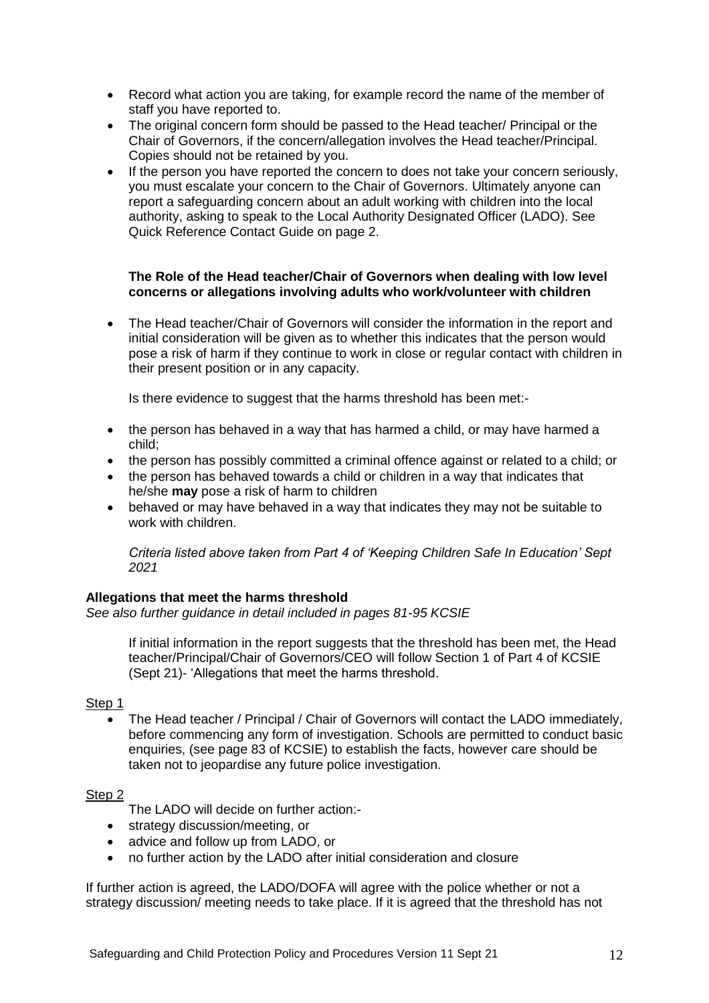- Record what action you are taking, for example record the name of the member of staff you have reported to.
- The original concern form should be passed to the Head teacher/ Principal or the Chair of Governors, if the concern/allegation involves the Head teacher/Principal. Copies should not be retained by you.
- If the person you have reported the concern to does not take your concern seriously, you must escalate your concern to the Chair of Governors. Ultimately anyone can report a safeguarding concern about an adult working with children into the local authority, asking to speak to the Local Authority Designated Officer (LADO). See Quick Reference Contact Guide on page 2.

## **The Role of the Head teacher/Chair of Governors when dealing with low level concerns or allegations involving adults who work/volunteer with children**

• The Head teacher/Chair of Governors will consider the information in the report and initial consideration will be given as to whether this indicates that the person would pose a risk of harm if they continue to work in close or regular contact with children in their present position or in any capacity.

Is there evidence to suggest that the harms threshold has been met:-

- the person has behaved in a way that has harmed a child, or may have harmed a child;
- the person has possibly committed a criminal offence against or related to a child; or
- the person has behaved towards a child or children in a way that indicates that he/she **may** pose a risk of harm to children
- behaved or may have behaved in a way that indicates they may not be suitable to work with children.

*Criteria listed above taken from Part 4 of 'Keeping Children Safe In Education' Sept 2021*

## **Allegations that meet the harms threshold**

*See also further guidance in detail included in pages 81-95 KCSIE*

If initial information in the report suggests that the threshold has been met, the Head teacher/Principal/Chair of Governors/CEO will follow Section 1 of Part 4 of KCSIE (Sept 21)- 'Allegations that meet the harms threshold.

Step 1

• The Head teacher / Principal / Chair of Governors will contact the LADO immediately, before commencing any form of investigation. Schools are permitted to conduct basic enquiries, (see page 83 of KCSIE) to establish the facts, however care should be taken not to jeopardise any future police investigation.

## Step 2

- The LADO will decide on further action:-
- strategy discussion/meeting, or
- advice and follow up from LADO, or
- no further action by the LADO after initial consideration and closure

If further action is agreed, the LADO/DOFA will agree with the police whether or not a strategy discussion/ meeting needs to take place. If it is agreed that the threshold has not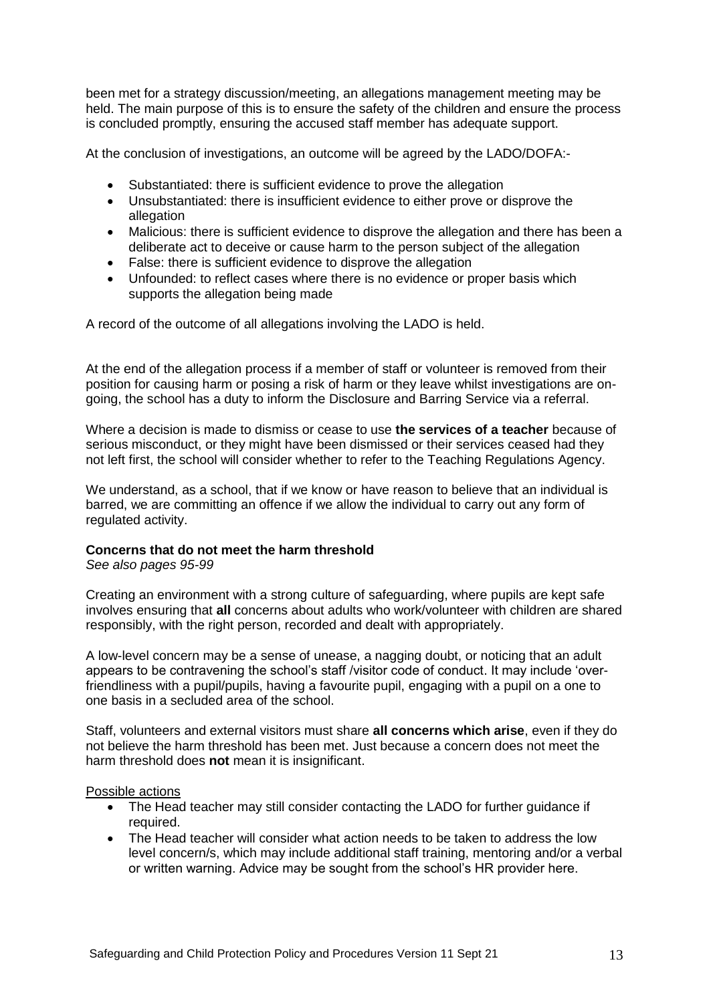been met for a strategy discussion/meeting, an allegations management meeting may be held. The main purpose of this is to ensure the safety of the children and ensure the process is concluded promptly, ensuring the accused staff member has adequate support.

At the conclusion of investigations, an outcome will be agreed by the LADO/DOFA:-

- Substantiated: there is sufficient evidence to prove the allegation
- Unsubstantiated: there is insufficient evidence to either prove or disprove the allegation
- Malicious: there is sufficient evidence to disprove the allegation and there has been a deliberate act to deceive or cause harm to the person subject of the allegation
- False: there is sufficient evidence to disprove the allegation
- Unfounded: to reflect cases where there is no evidence or proper basis which supports the allegation being made

A record of the outcome of all allegations involving the LADO is held.

At the end of the allegation process if a member of staff or volunteer is removed from their position for causing harm or posing a risk of harm or they leave whilst investigations are ongoing, the school has a duty to inform the Disclosure and Barring Service via a referral.

Where a decision is made to dismiss or cease to use **the services of a teacher** because of serious misconduct, or they might have been dismissed or their services ceased had they not left first, the school will consider whether to refer to the Teaching Regulations Agency.

We understand, as a school, that if we know or have reason to believe that an individual is barred, we are committing an offence if we allow the individual to carry out any form of regulated activity.

#### **Concerns that do not meet the harm threshold**

*See also pages 95-99*

Creating an environment with a strong culture of safeguarding, where pupils are kept safe involves ensuring that **all** concerns about adults who work/volunteer with children are shared responsibly, with the right person, recorded and dealt with appropriately.

A low-level concern may be a sense of unease, a nagging doubt, or noticing that an adult appears to be contravening the school's staff /visitor code of conduct. It may include 'overfriendliness with a pupil/pupils, having a favourite pupil, engaging with a pupil on a one to one basis in a secluded area of the school.

Staff, volunteers and external visitors must share **all concerns which arise**, even if they do not believe the harm threshold has been met. Just because a concern does not meet the harm threshold does **not** mean it is insignificant.

#### Possible actions

- The Head teacher may still consider contacting the LADO for further guidance if required.
- The Head teacher will consider what action needs to be taken to address the low level concern/s, which may include additional staff training, mentoring and/or a verbal or written warning. Advice may be sought from the school's HR provider here.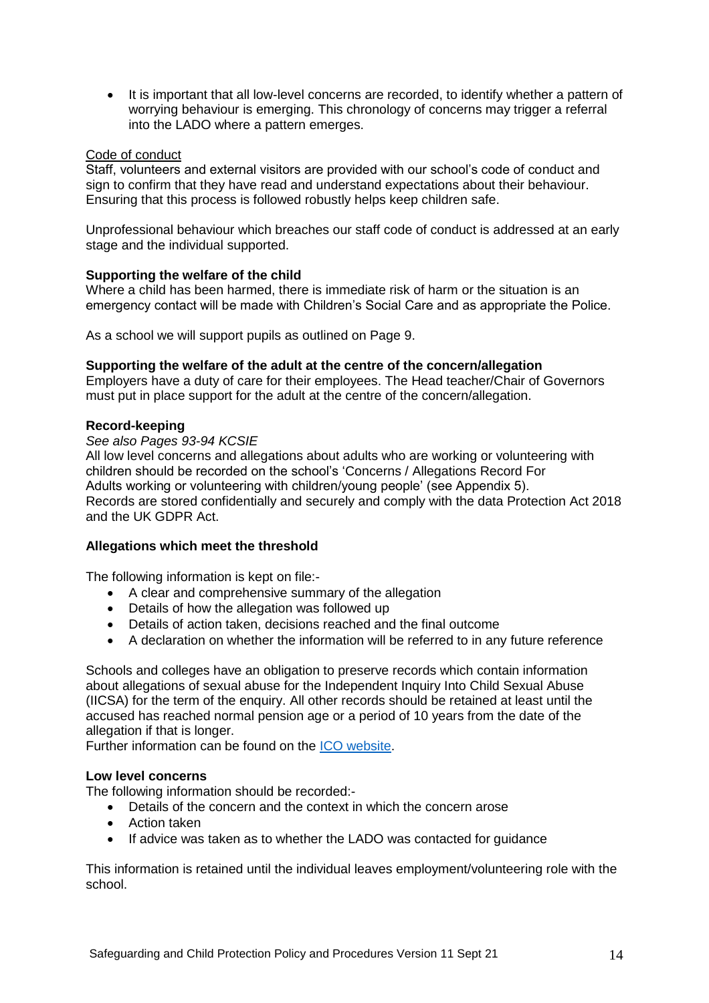• It is important that all low-level concerns are recorded, to identify whether a pattern of worrying behaviour is emerging. This chronology of concerns may trigger a referral into the LADO where a pattern emerges.

## Code of conduct

Staff, volunteers and external visitors are provided with our school's code of conduct and sign to confirm that they have read and understand expectations about their behaviour. Ensuring that this process is followed robustly helps keep children safe.

Unprofessional behaviour which breaches our staff code of conduct is addressed at an early stage and the individual supported.

### **Supporting the welfare of the child**

Where a child has been harmed, there is immediate risk of harm or the situation is an emergency contact will be made with Children's Social Care and as appropriate the Police.

As a school we will support pupils as outlined on Page 9.

#### **Supporting the welfare of the adult at the centre of the concern/allegation**

Employers have a duty of care for their employees. The Head teacher/Chair of Governors must put in place support for the adult at the centre of the concern/allegation.

#### **Record-keeping**

#### *See also Pages 93-94 KCSIE*

All low level concerns and allegations about adults who are working or volunteering with children should be recorded on the school's 'Concerns / Allegations Record For Adults working or volunteering with children/young people' (see Appendix 5). Records are stored confidentially and securely and comply with the data Protection Act 2018 and the UK GDPR Act.

#### **Allegations which meet the threshold**

The following information is kept on file:-

- A clear and comprehensive summary of the allegation
- Details of how the allegation was followed up
- Details of action taken, decisions reached and the final outcome
- A declaration on whether the information will be referred to in any future reference

Schools and colleges have an obligation to preserve records which contain information about allegations of sexual abuse for the Independent Inquiry Into Child Sexual Abuse (IICSA) for the term of the enquiry. All other records should be retained at least until the accused has reached normal pension age or a period of 10 years from the date of the allegation if that is longer.

Further information can be found on the [ICO website.](https://ico.org.uk/media/for-organisations/documents/1064/the_employment_practices_code.pdf)

### **Low level concerns**

The following information should be recorded:-

- Details of the concern and the context in which the concern arose
- Action taken
- If advice was taken as to whether the LADO was contacted for guidance

This information is retained until the individual leaves employment/volunteering role with the school.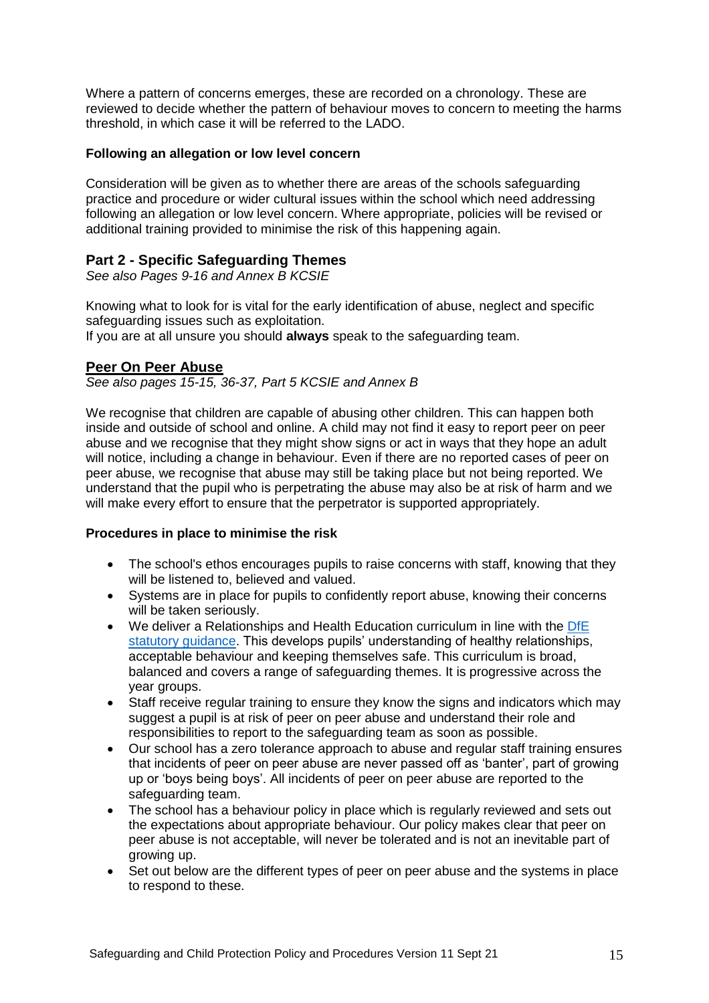Where a pattern of concerns emerges, these are recorded on a chronology. These are reviewed to decide whether the pattern of behaviour moves to concern to meeting the harms threshold, in which case it will be referred to the LADO.

## **Following an allegation or low level concern**

Consideration will be given as to whether there are areas of the schools safeguarding practice and procedure or wider cultural issues within the school which need addressing following an allegation or low level concern. Where appropriate, policies will be revised or additional training provided to minimise the risk of this happening again.

## **Part 2 - Specific Safeguarding Themes**

*See also Pages 9-16 and Annex B KCSIE*

Knowing what to look for is vital for the early identification of abuse, neglect and specific safeguarding issues such as exploitation. If you are at all unsure you should **always** speak to the safeguarding team.

## **Peer On Peer Abuse**

*See also pages 15-15, 36-37, Part 5 KCSIE and Annex B*

We recognise that children are capable of abusing other children. This can happen both inside and outside of school and online. A child may not find it easy to report peer on peer abuse and we recognise that they might show signs or act in ways that they hope an adult will notice, including a change in behaviour. Even if there are no reported cases of peer on peer abuse, we recognise that abuse may still be taking place but not being reported. We understand that the pupil who is perpetrating the abuse may also be at risk of harm and we will make every effort to ensure that the perpetrator is supported appropriately.

## **Procedures in place to minimise the risk**

- The school's ethos encourages pupils to raise concerns with staff, knowing that they will be listened to, believed and valued.
- Systems are in place for pupils to confidently report abuse, knowing their concerns will be taken seriously.
- We deliver a Relationships and Health Education curriculum in line with the DfE [statutory guidance.](https://www.gov.uk/government/publications/relationships-education-relationships-and-sex-education-rse-and-health-education) This develops pupils' understanding of healthy relationships, acceptable behaviour and keeping themselves safe. This curriculum is broad, balanced and covers a range of safeguarding themes. It is progressive across the year groups.
- Staff receive regular training to ensure they know the signs and indicators which may suggest a pupil is at risk of peer on peer abuse and understand their role and responsibilities to report to the safeguarding team as soon as possible.
- Our school has a zero tolerance approach to abuse and regular staff training ensures that incidents of peer on peer abuse are never passed off as 'banter', part of growing up or 'boys being boys'. All incidents of peer on peer abuse are reported to the safeguarding team.
- The school has a behaviour policy in place which is regularly reviewed and sets out the expectations about appropriate behaviour. Our policy makes clear that peer on peer abuse is not acceptable, will never be tolerated and is not an inevitable part of growing up.
- Set out below are the different types of peer on peer abuse and the systems in place to respond to these.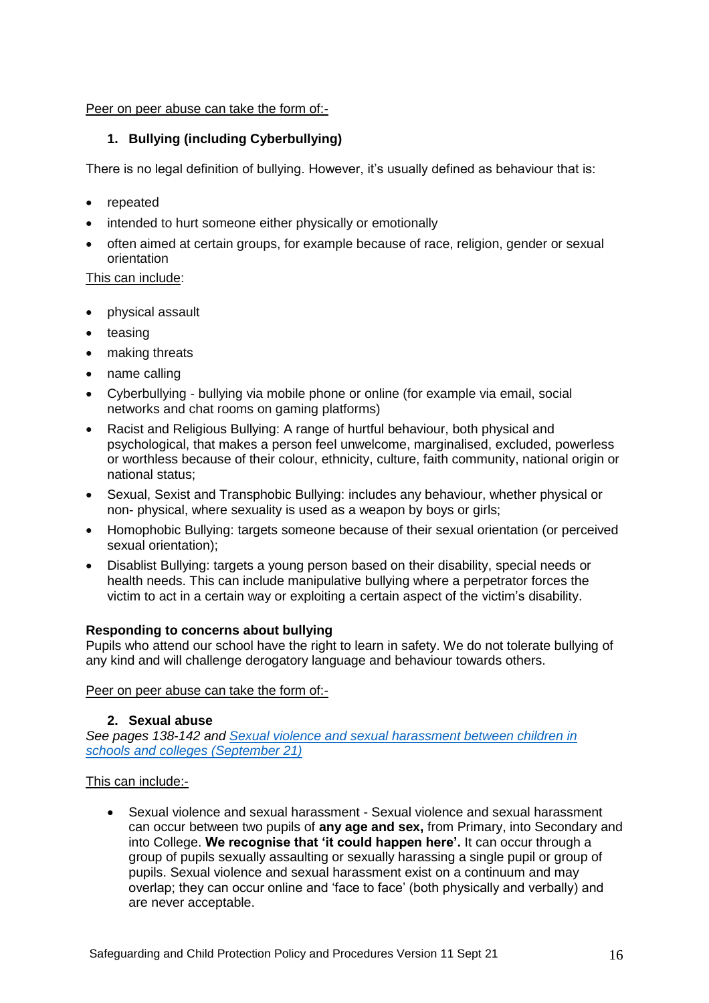## Peer on peer abuse can take the form of:-

## **1. Bullying (including Cyberbullying)**

There is no legal definition of bullying. However, it's usually defined as behaviour that is:

- repeated
- intended to hurt someone either physically or emotionally
- often aimed at certain groups, for example because of race, religion, gender or sexual orientation

## This can include:

- physical assault
- teasing
- making threats
- name calling
- Cyberbullying bullying via mobile phone or online (for example via email, social networks and chat rooms on gaming platforms)
- Racist and Religious Bullying: A range of hurtful behaviour, both physical and psychological, that makes a person feel unwelcome, marginalised, excluded, powerless or worthless because of their colour, ethnicity, culture, faith community, national origin or national status;
- Sexual, Sexist and Transphobic Bullying: includes any behaviour, whether physical or non- physical, where sexuality is used as a weapon by boys or girls;
- Homophobic Bullying: targets someone because of their sexual orientation (or perceived sexual orientation);
- Disablist Bullying: targets a young person based on their disability, special needs or health needs. This can include manipulative bullying where a perpetrator forces the victim to act in a certain way or exploiting a certain aspect of the victim's disability.

## **Responding to concerns about bullying**

Pupils who attend our school have the right to learn in safety. We do not tolerate bullying of any kind and will challenge derogatory language and behaviour towards others.

## Peer on peer abuse can take the form of:-

## **2. Sexual abuse**

*See pages 138-142 and [Sexual violence and sexual harassment between children in](https://assets.publishing.service.gov.uk/government/uploads/system/uploads/attachment_data/file/999239/SVSH_2021.pdf)  [schools and colleges \(September 21\)](https://assets.publishing.service.gov.uk/government/uploads/system/uploads/attachment_data/file/999239/SVSH_2021.pdf)*

## This can include:-

• Sexual violence and sexual harassment - Sexual violence and sexual harassment can occur between two pupils of **any age and sex,** from Primary, into Secondary and into College. **We recognise that 'it could happen here'.** It can occur through a group of pupils sexually assaulting or sexually harassing a single pupil or group of pupils. Sexual violence and sexual harassment exist on a continuum and may overlap; they can occur online and 'face to face' (both physically and verbally) and are never acceptable.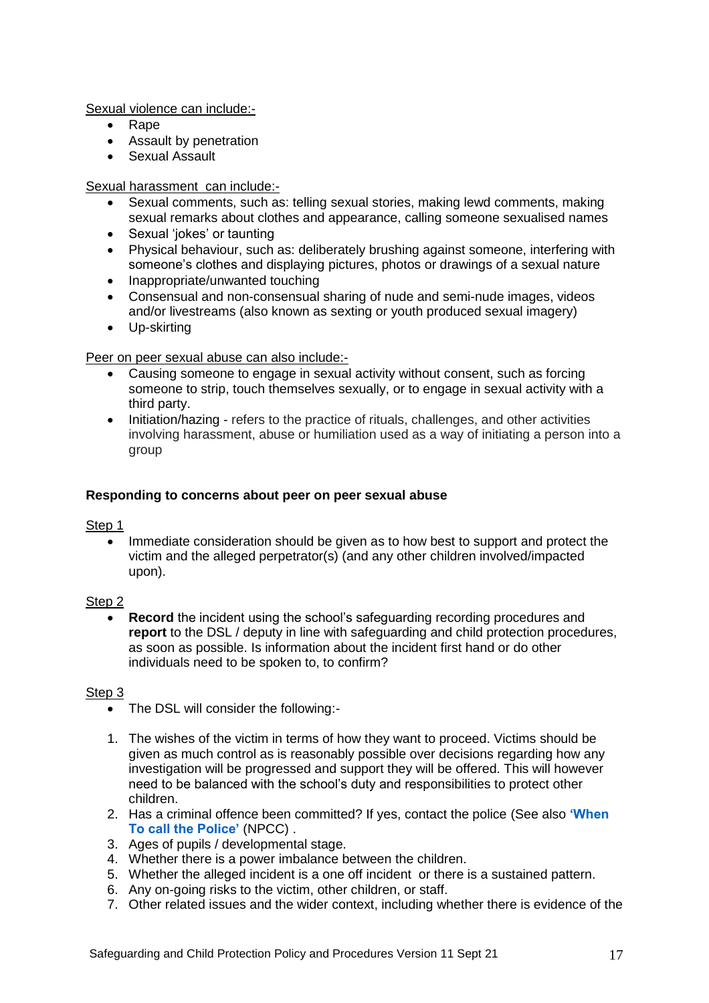Sexual violence can include:-

- Rape
- Assault by penetration
- Sexual Assault

## Sexual harassment can include:-

- Sexual comments, such as: telling sexual stories, making lewd comments, making sexual remarks about clothes and appearance, calling someone sexualised names
- Sexual 'jokes' or taunting
- Physical behaviour, such as: deliberately brushing against someone, interfering with someone's clothes and displaying pictures, photos or drawings of a sexual nature
- Inappropriate/unwanted touching
- Consensual and non-consensual sharing of nude and semi-nude images, videos and/or livestreams (also known as sexting or youth produced sexual imagery)
- Up-skirting

## Peer on peer sexual abuse can also include:-

- Causing someone to engage in sexual activity without consent, such as forcing someone to strip, touch themselves sexually, or to engage in sexual activity with a third party.
- Initiation/hazing refers to the practice of rituals, challenges, and other activities involving harassment, abuse or humiliation used as a way of initiating a person into a group

## **Responding to concerns about peer on peer sexual abuse**

## Step<sub>1</sub>

• Immediate consideration should be given as to how best to support and protect the victim and the alleged perpetrator(s) (and any other children involved/impacted upon).

## Step<sub>2</sub>

**Record** the incident using the school's safeguarding recording procedures and **report** to the DSL / deputy in line with safeguarding and child protection procedures, as soon as possible. Is information about the incident first hand or do other individuals need to be spoken to, to confirm?

## Step 3

- The DSL will consider the following:-
- 1. The wishes of the victim in terms of how they want to proceed. Victims should be given as much control as is reasonably possible over decisions regarding how any investigation will be progressed and support they will be offered. This will however need to be balanced with the school's duty and responsibilities to protect other children.
- 2. Has a criminal offence been committed? If yes, contact the police (See also **['When](https://www.npcc.police.uk/documents/Children%20and%20Young%20people/When%20to%20call%20the%20police%20guidance%20for%20schools%20and%20colleges.pdf)  [To call the Police'](https://www.npcc.police.uk/documents/Children%20and%20Young%20people/When%20to%20call%20the%20police%20guidance%20for%20schools%20and%20colleges.pdf)** (NPCC) .
- 3. Ages of pupils / developmental stage.
- 4. Whether there is a power imbalance between the children.
- 5. Whether the alleged incident is a one off incident or there is a sustained pattern.
- 6. Any on-going risks to the victim, other children, or staff.
- 7. Other related issues and the wider context, including whether there is evidence of the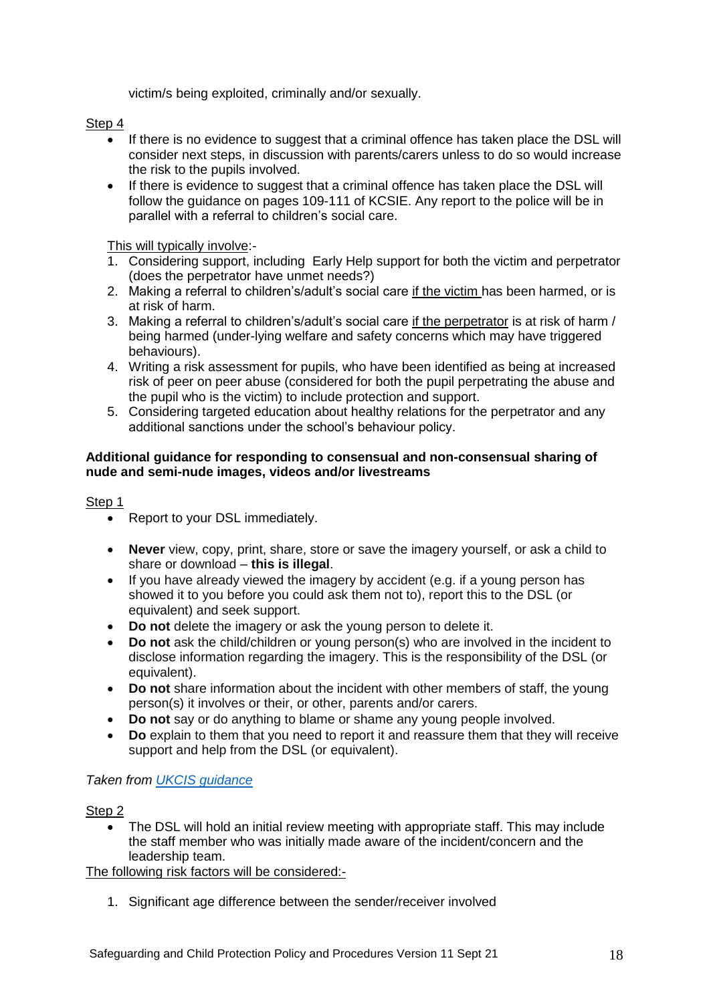victim/s being exploited, criminally and/or sexually.

## Step 4

- If there is no evidence to suggest that a criminal offence has taken place the DSL will consider next steps, in discussion with parents/carers unless to do so would increase the risk to the pupils involved.
- If there is evidence to suggest that a criminal offence has taken place the DSL will follow the guidance on pages 109-111 of KCSIE. Any report to the police will be in parallel with a referral to children's social care.

This will typically involve:-

- 1. Considering support, including Early Help support for both the victim and perpetrator (does the perpetrator have unmet needs?)
- 2. Making a referral to children's/adult's social care if the victim has been harmed, or is at risk of harm.
- 3. Making a referral to children's/adult's social care if the perpetrator is at risk of harm / being harmed (under-lying welfare and safety concerns which may have triggered behaviours).
- 4. Writing a risk assessment for pupils, who have been identified as being at increased risk of peer on peer abuse (considered for both the pupil perpetrating the abuse and the pupil who is the victim) to include protection and support.
- 5. Considering targeted education about healthy relations for the perpetrator and any additional sanctions under the school's behaviour policy.

## **Additional guidance for responding to consensual and non-consensual sharing of nude and semi-nude images, videos and/or livestreams**

## Step 1

- Report to your DSL immediately.
- **Never** view, copy, print, share, store or save the imagery yourself, or ask a child to share or download – **this is illegal**.
- If you have already viewed the imagery by accident (e.g. if a young person has showed it to you before you could ask them not to), report this to the DSL (or equivalent) and seek support.
- **Do not** delete the imagery or ask the young person to delete it.
- **Do not** ask the child/children or young person(s) who are involved in the incident to disclose information regarding the imagery. This is the responsibility of the DSL (or equivalent).
- **Do not** share information about the incident with other members of staff, the young person(s) it involves or their, or other, parents and/or carers.
- **Do not** say or do anything to blame or shame any young people involved.
- **Do** explain to them that you need to report it and reassure them that they will receive support and help from the DSL (or equivalent).

## *Taken from [UKCIS guidance](https://www.gov.uk/government/publications/sharing-nudes-and-semi-nudes-advice-for-education-settings-working-with-children-and-young-people)*

## Step 2

The DSL will hold an initial review meeting with appropriate staff. This may include the staff member who was initially made aware of the incident/concern and the leadership team.

The following risk factors will be considered:-

1. Significant age difference between the sender/receiver involved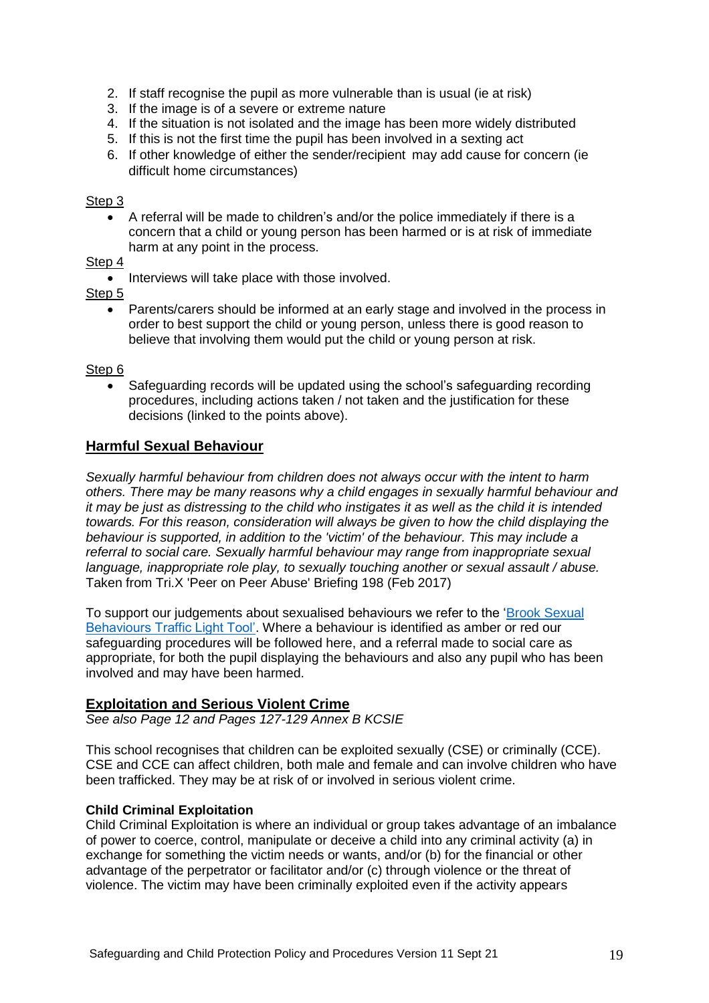- 2. If staff recognise the pupil as more vulnerable than is usual (ie at risk)
- 3. If the image is of a severe or extreme nature
- 4. If the situation is not isolated and the image has been more widely distributed
- 5. If this is not the first time the pupil has been involved in a sexting act
- 6. If other knowledge of either the sender/recipient may add cause for concern (ie difficult home circumstances)

### Step 3

• A referral will be made to children's and/or the police immediately if there is a concern that a child or young person has been harmed or is at risk of immediate harm at any point in the process.

## Step 4

• Interviews will take place with those involved.

### Step 5

• Parents/carers should be informed at an early stage and involved in the process in order to best support the child or young person, unless there is good reason to believe that involving them would put the child or young person at risk.

### Step 6

• Safeguarding records will be updated using the school's safeguarding recording procedures, including actions taken / not taken and the justification for these decisions (linked to the points above).

## **Harmful Sexual Behaviour**

*Sexually harmful behaviour from children does not always occur with the intent to harm others. There may be many reasons why a child engages in sexually harmful behaviour and it may be just as distressing to the child who instigates it as well as the child it is intended towards. For this reason, consideration will always be given to how the child displaying the behaviour is supported, in addition to the 'victim' of the behaviour. This may include a referral to social care. Sexually harmful behaviour may range from inappropriate sexual language, inappropriate role play, to sexually touching another or sexual assault / abuse.*  Taken from Tri.X 'Peer on Peer Abuse' Briefing 198 (Feb 2017)

To support our judgements about sexualised behaviours we refer to the 'Brook Sexual [Behaviours Traffic Light Tool'.](https://www.brook.org.uk/training/wider-professional-training/sexual-behaviours-traffic-light-tool/) Where a behaviour is identified as amber or red our safeguarding procedures will be followed here, and a referral made to social care as appropriate, for both the pupil displaying the behaviours and also any pupil who has been involved and may have been harmed.

## **Exploitation and Serious Violent Crime**

*See also Page 12 and Pages 127-129 Annex B KCSIE*

This school recognises that children can be exploited sexually (CSE) or criminally (CCE). CSE and CCE can affect children, both male and female and can involve children who have been trafficked. They may be at risk of or involved in serious violent crime.

## **Child Criminal Exploitation**

Child Criminal Exploitation is where an individual or group takes advantage of an imbalance of power to coerce, control, manipulate or deceive a child into any criminal activity (a) in exchange for something the victim needs or wants, and/or (b) for the financial or other advantage of the perpetrator or facilitator and/or (c) through violence or the threat of violence. The victim may have been criminally exploited even if the activity appears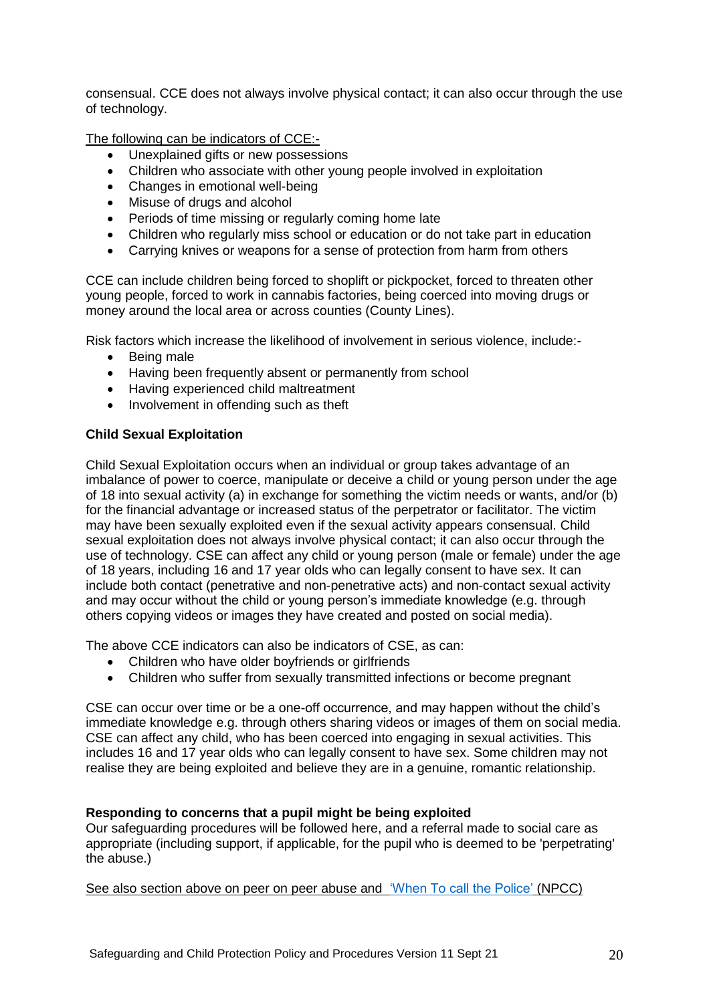consensual. CCE does not always involve physical contact; it can also occur through the use of technology.

The following can be indicators of CCE:-

- Unexplained gifts or new possessions
- Children who associate with other young people involved in exploitation
- Changes in emotional well-being
- Misuse of drugs and alcohol
- Periods of time missing or regularly coming home late
- Children who regularly miss school or education or do not take part in education
- Carrying knives or weapons for a sense of protection from harm from others

CCE can include children being forced to shoplift or pickpocket, forced to threaten other young people, forced to work in cannabis factories, being coerced into moving drugs or money around the local area or across counties (County Lines).

Risk factors which increase the likelihood of involvement in serious violence, include:-

- Being male
- Having been frequently absent or permanently from school
- Having experienced child maltreatment
- Involvement in offending such as theft

### **Child Sexual Exploitation**

Child Sexual Exploitation occurs when an individual or group takes advantage of an imbalance of power to coerce, manipulate or deceive a child or young person under the age of 18 into sexual activity (a) in exchange for something the victim needs or wants, and/or (b) for the financial advantage or increased status of the perpetrator or facilitator. The victim may have been sexually exploited even if the sexual activity appears consensual. Child sexual exploitation does not always involve physical contact; it can also occur through the use of technology. CSE can affect any child or young person (male or female) under the age of 18 years, including 16 and 17 year olds who can legally consent to have sex. It can include both contact (penetrative and non-penetrative acts) and non-contact sexual activity and may occur without the child or young person's immediate knowledge (e.g. through others copying videos or images they have created and posted on social media).

The above CCE indicators can also be indicators of CSE, as can:

- Children who have older boyfriends or girlfriends
- Children who suffer from sexually transmitted infections or become pregnant

CSE can occur over time or be a one-off occurrence, and may happen without the child's immediate knowledge e.g. through others sharing videos or images of them on social media. CSE can affect any child, who has been coerced into engaging in sexual activities. This includes 16 and 17 year olds who can legally consent to have sex. Some children may not realise they are being exploited and believe they are in a genuine, romantic relationship.

## **Responding to concerns that a pupil might be being exploited**

Our safeguarding procedures will be followed here, and a referral made to social care as appropriate (including support, if applicable, for the pupil who is deemed to be 'perpetrating' the abuse.)

See also section above on peer on peer abuse and ['When To call the Police'](https://www.npcc.police.uk/documents/Children%20and%20Young%20people/When%20to%20call%20the%20police%20guidance%20for%20schools%20and%20colleges.pdf) (NPCC)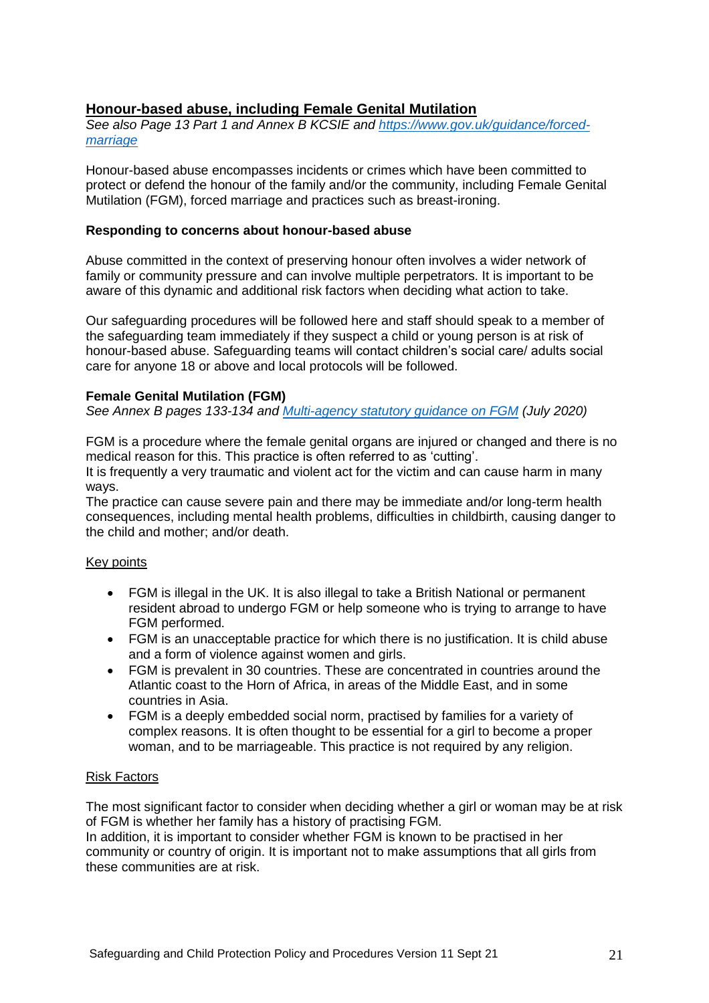## **Honour-based abuse, including Female Genital Mutilation**

*See also Page 13 Part 1 and Annex B KCSIE and [https://www.gov.uk/guidance/forced](https://www.gov.uk/guidance/forced-marriage)[marriage](https://www.gov.uk/guidance/forced-marriage)*

Honour-based abuse encompasses incidents or crimes which have been committed to protect or defend the honour of the family and/or the community, including Female Genital Mutilation (FGM), forced marriage and practices such as breast-ironing.

#### **Responding to concerns about honour-based abuse**

Abuse committed in the context of preserving honour often involves a wider network of family or community pressure and can involve multiple perpetrators. It is important to be aware of this dynamic and additional risk factors when deciding what action to take.

Our safeguarding procedures will be followed here and staff should speak to a member of the safeguarding team immediately if they suspect a child or young person is at risk of honour-based abuse. Safeguarding teams will contact children's social care/ adults social care for anyone 18 or above and local protocols will be followed.

### **Female Genital Mutilation (FGM)**

*See Annex B pages 133-134 and [Multi-agency statutory guidance on FGM](https://www.gov.uk/government/publications/multi-agency-statutory-guidance-on-female-genital-mutilation) (July 2020)*

FGM is a procedure where the female genital organs are injured or changed and there is no medical reason for this. This practice is often referred to as 'cutting'.

It is frequently a very traumatic and violent act for the victim and can cause harm in many ways.

The practice can cause severe pain and there may be immediate and/or long-term health consequences, including mental health problems, difficulties in childbirth, causing danger to the child and mother; and/or death.

## Key points

- FGM is illegal in the UK. It is also illegal to take a British National or permanent resident abroad to undergo FGM or help someone who is trying to arrange to have FGM performed.
- FGM is an unacceptable practice for which there is no justification. It is child abuse and a form of violence against women and girls.
- FGM is prevalent in 30 countries. These are concentrated in countries around the Atlantic coast to the Horn of Africa, in areas of the Middle East, and in some countries in Asia.
- FGM is a deeply embedded social norm, practised by families for a variety of complex reasons. It is often thought to be essential for a girl to become a proper woman, and to be marriageable. This practice is not required by any religion.

#### Risk Factors

The most significant factor to consider when deciding whether a girl or woman may be at risk of FGM is whether her family has a history of practising FGM.

In addition, it is important to consider whether FGM is known to be practised in her community or country of origin. It is important not to make assumptions that all girls from these communities are at risk.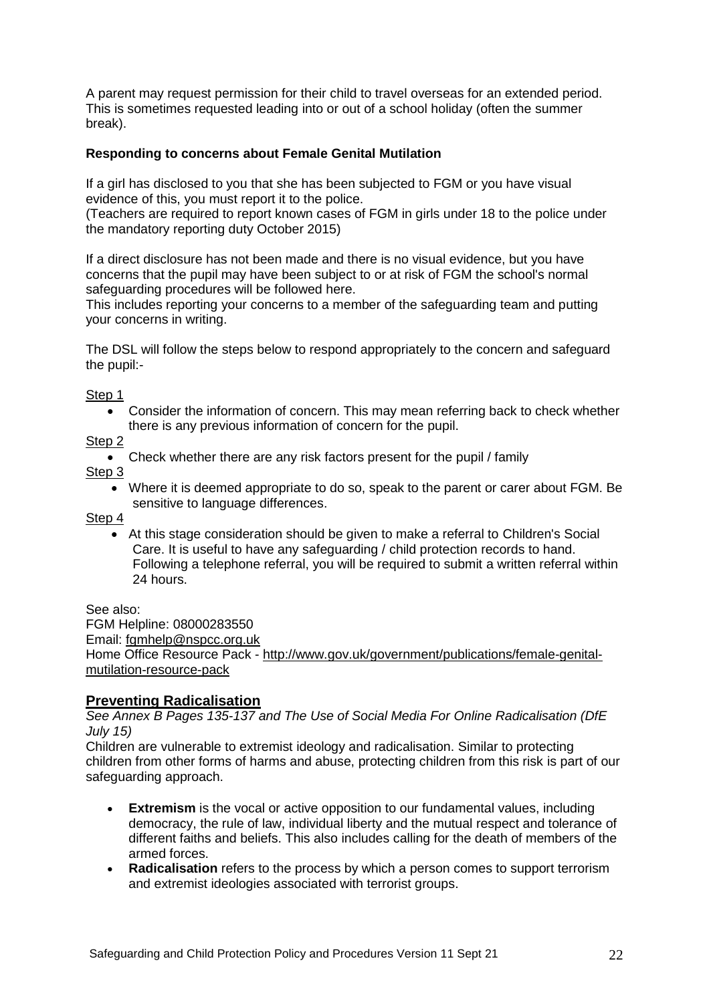A parent may request permission for their child to travel overseas for an extended period. This is sometimes requested leading into or out of a school holiday (often the summer break).

## **Responding to concerns about Female Genital Mutilation**

If a girl has disclosed to you that she has been subjected to FGM or you have visual evidence of this, you must report it to the police.

(Teachers are required to report known cases of FGM in girls under 18 to the police under the mandatory reporting duty October 2015)

If a direct disclosure has not been made and there is no visual evidence, but you have concerns that the pupil may have been subject to or at risk of FGM the school's normal safeguarding procedures will be followed here.

This includes reporting your concerns to a member of the safeguarding team and putting your concerns in writing.

The DSL will follow the steps below to respond appropriately to the concern and safeguard the pupil:-

Step 1

• Consider the information of concern. This may mean referring back to check whether there is any previous information of concern for the pupil.

Step 2

• Check whether there are any risk factors present for the pupil / family

Step 3

• Where it is deemed appropriate to do so, speak to the parent or carer about FGM. Be sensitive to language differences.

Step 4

• At this stage consideration should be given to make a referral to Children's Social Care. It is useful to have any safeguarding / child protection records to hand. Following a telephone referral, you will be required to submit a written referral within 24 hours.

See also:

FGM Helpline: 08000283550 Email: [fgmhelp@nspcc.org.uk](mailto:fgmhelp@nspcc.org.uk) Home Office Resource Pack - [http://www.gov.uk/government/publications/female-genital](http://www.gov.uk/government/publications/female-genital-mutilation-resource-pack)[mutilation-resource-pack](http://www.gov.uk/government/publications/female-genital-mutilation-resource-pack)

## **Preventing Radicalisation**

*See Annex B Pages 135-137 and [The Use of Social Media For Online Radicalisation \(DfE](https://www.gov.uk/government/publications/the-use-of-social-media-for-online-radicalisation)  [July 15\)](https://www.gov.uk/government/publications/the-use-of-social-media-for-online-radicalisation)*

Children are vulnerable to extremist ideology and radicalisation. Similar to protecting children from other forms of harms and abuse, protecting children from this risk is part of our safeguarding approach.

- **Extremism** is the vocal or active opposition to our fundamental values, including democracy, the rule of law, individual liberty and the mutual respect and tolerance of different faiths and beliefs. This also includes calling for the death of members of the armed forces.
- **Radicalisation** refers to the process by which a person comes to support terrorism and extremist ideologies associated with terrorist groups.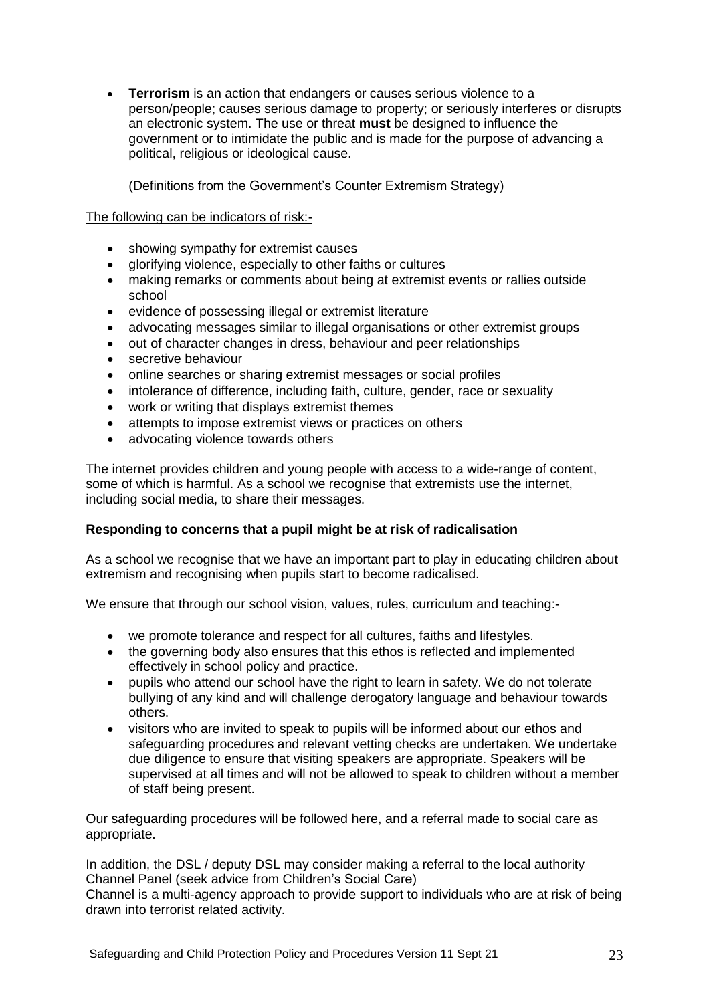• **Terrorism** is an action that endangers or causes serious violence to a person/people; causes serious damage to property; or seriously interferes or disrupts an electronic system. The use or threat **must** be designed to influence the government or to intimidate the public and is made for the purpose of advancing a political, religious or ideological cause.

(Definitions from the Government's Counter Extremism Strategy)

The following can be indicators of risk:-

- showing sympathy for extremist causes
- glorifying violence, especially to other faiths or cultures
- making remarks or comments about being at extremist events or rallies outside school
- evidence of possessing illegal or extremist literature
- advocating messages similar to illegal organisations or other extremist groups
- out of character changes in dress, behaviour and peer relationships
- secretive behaviour
- online searches or sharing extremist messages or social profiles
- intolerance of difference, including faith, culture, gender, race or sexuality
- work or writing that displays extremist themes
- attempts to impose extremist views or practices on others
- advocating violence towards others

The internet provides children and young people with access to a wide-range of content, some of which is harmful. As a school we recognise that extremists use the internet, including social media, to share their messages.

## **Responding to concerns that a pupil might be at risk of radicalisation**

As a school we recognise that we have an important part to play in educating children about extremism and recognising when pupils start to become radicalised.

We ensure that through our school vision, values, rules, curriculum and teaching:-

- we promote tolerance and respect for all cultures, faiths and lifestyles.
- the governing body also ensures that this ethos is reflected and implemented effectively in school policy and practice.
- pupils who attend our school have the right to learn in safety. We do not tolerate bullying of any kind and will challenge derogatory language and behaviour towards others.
- visitors who are invited to speak to pupils will be informed about our ethos and safeguarding procedures and relevant vetting checks are undertaken. We undertake due diligence to ensure that visiting speakers are appropriate. Speakers will be supervised at all times and will not be allowed to speak to children without a member of staff being present.

Our safeguarding procedures will be followed here, and a referral made to social care as appropriate.

In addition, the DSL / deputy DSL may consider making a referral to the local authority Channel Panel (seek advice from Children's Social Care) Channel is a multi-agency approach to provide support to individuals who are at risk of being drawn into terrorist related activity.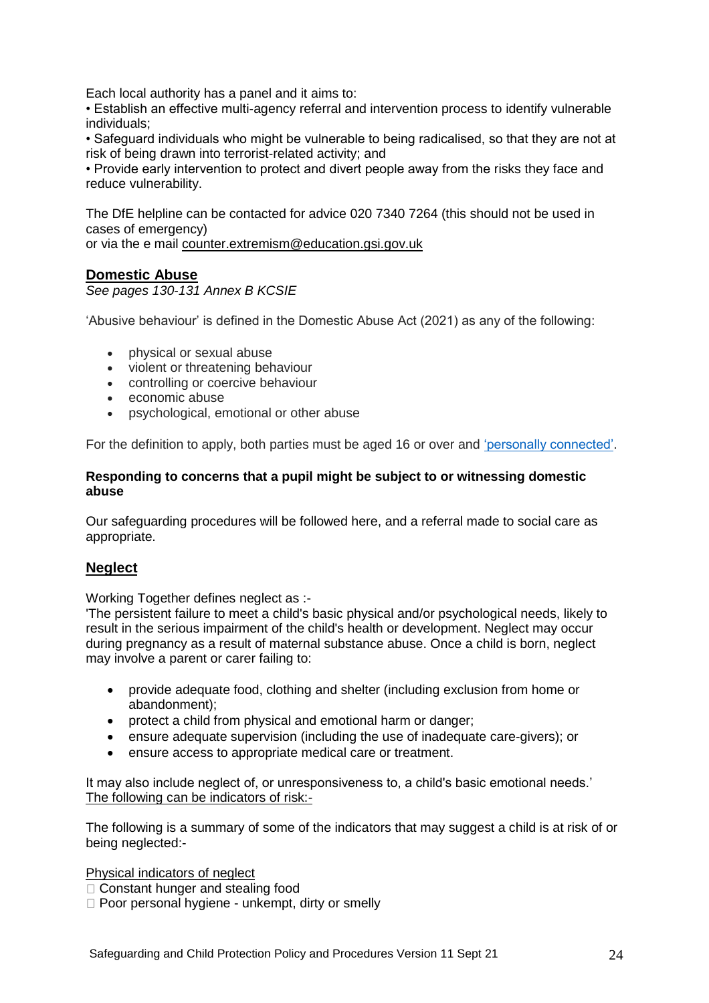Each local authority has a panel and it aims to:

• Establish an effective multi-agency referral and intervention process to identify vulnerable individuals;

• Safeguard individuals who might be vulnerable to being radicalised, so that they are not at risk of being drawn into terrorist-related activity; and

• Provide early intervention to protect and divert people away from the risks they face and reduce vulnerability.

The DfE helpline can be contacted for advice 020 7340 7264 (this should not be used in cases of emergency)

or via the e mail [counter.extremism@education.gsi.gov.uk](mailto:counter.extremism@education.gsi.gov.uk)

## **Domestic Abuse**

*See pages 130-131 Annex B KCSIE*

'Abusive behaviour' is defined in the Domestic Abuse Act (2021) as any of the following:

- physical or sexual abuse
- violent or threatening behaviour
- controlling or coercive behaviour
- economic abuse
- psychological, emotional or other abuse

For the definition to apply, both parties must be aged 16 or over and ['personally connected'.](https://www.lawsociety.org.uk/topics/family-and-children/domestic-abuse-act-2021#definition-of-abuse)

### **Responding to concerns that a pupil might be subject to or witnessing domestic abuse**

Our safeguarding procedures will be followed here, and a referral made to social care as appropriate.

## **Neglect**

Working Together defines neglect as :-

'The persistent failure to meet a child's basic physical and/or psychological needs, likely to result in the serious impairment of the child's health or development. Neglect may occur during pregnancy as a result of maternal substance abuse. Once a child is born, neglect may involve a parent or carer failing to:

- provide adequate food, clothing and shelter (including exclusion from home or abandonment);
- protect a child from physical and emotional harm or danger;
- ensure adequate supervision (including the use of inadequate care-givers); or
- ensure access to appropriate medical care or treatment.

It may also include neglect of, or unresponsiveness to, a child's basic emotional needs.' The following can be indicators of risk:-

The following is a summary of some of the indicators that may suggest a child is at risk of or being neglected:-

Physical indicators of neglect

□ Constant hunger and stealing food

□ Poor personal hygiene - unkempt, dirty or smelly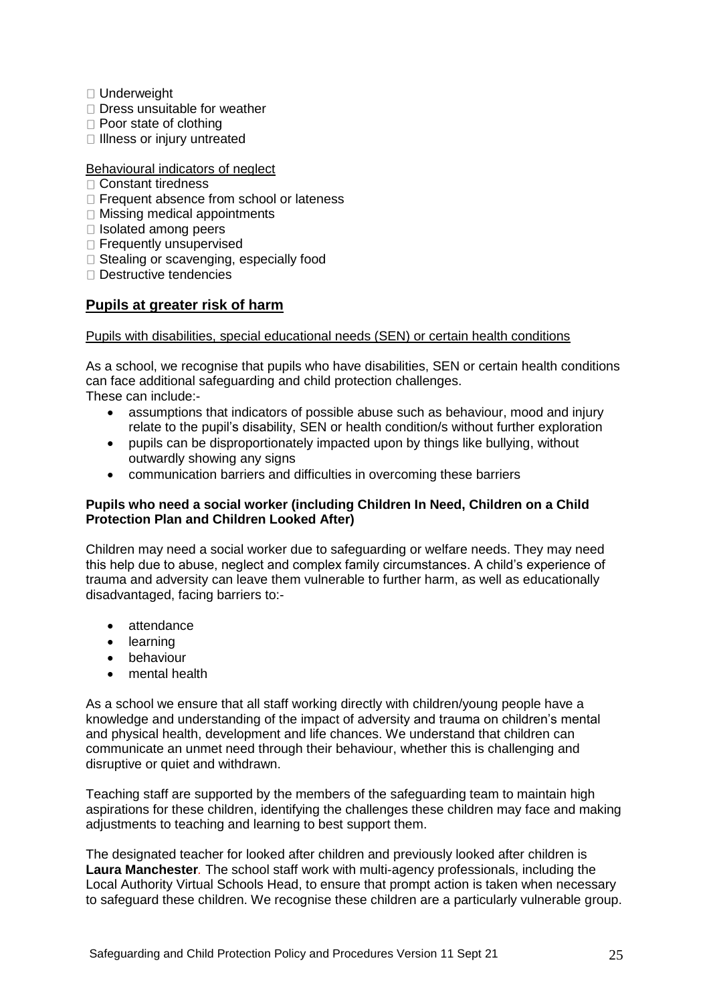- □ Underweight
- $\Box$  Dress unsuitable for weather
- $\Box$  Poor state of clothing
- $\Box$  Illness or injury untreated

## Behavioural indicators of neglect

- □ Constant tiredness
- □ Frequent absence from school or lateness
- $\Box$  Missing medical appointments
- $\Box$  Isolated among peers
- □ Frequently unsupervised
- □ Stealing or scavenging, especially food
- Destructive tendencies

## **Pupils at greater risk of harm**

#### Pupils with disabilities, special educational needs (SEN) or certain health conditions

As a school, we recognise that pupils who have disabilities, SEN or certain health conditions can face additional safeguarding and child protection challenges. These can include:-

- assumptions that indicators of possible abuse such as behaviour, mood and injury relate to the pupil's disability, SEN or health condition/s without further exploration
- pupils can be disproportionately impacted upon by things like bullying, without outwardly showing any signs
- communication barriers and difficulties in overcoming these barriers

## **Pupils who need a social worker (including Children In Need, Children on a Child Protection Plan and Children Looked After)**

Children may need a social worker due to safeguarding or welfare needs. They may need this help due to abuse, neglect and complex family circumstances. A child's experience of trauma and adversity can leave them vulnerable to further harm, as well as educationally disadvantaged, facing barriers to:-

- attendance
- learning
- behaviour
- mental health

As a school we ensure that all staff working directly with children/young people have a knowledge and understanding of the impact of adversity and trauma on children's mental and physical health, development and life chances. We understand that children can communicate an unmet need through their behaviour, whether this is challenging and disruptive or quiet and withdrawn.

Teaching staff are supported by the members of the safeguarding team to maintain high aspirations for these children, identifying the challenges these children may face and making adjustments to teaching and learning to best support them.

The designated teacher for looked after children and previously looked after children is **Laura Manchester***.* The school staff work with multi-agency professionals, including the Local Authority Virtual Schools Head, to ensure that prompt action is taken when necessary to safeguard these children. We recognise these children are a particularly vulnerable group.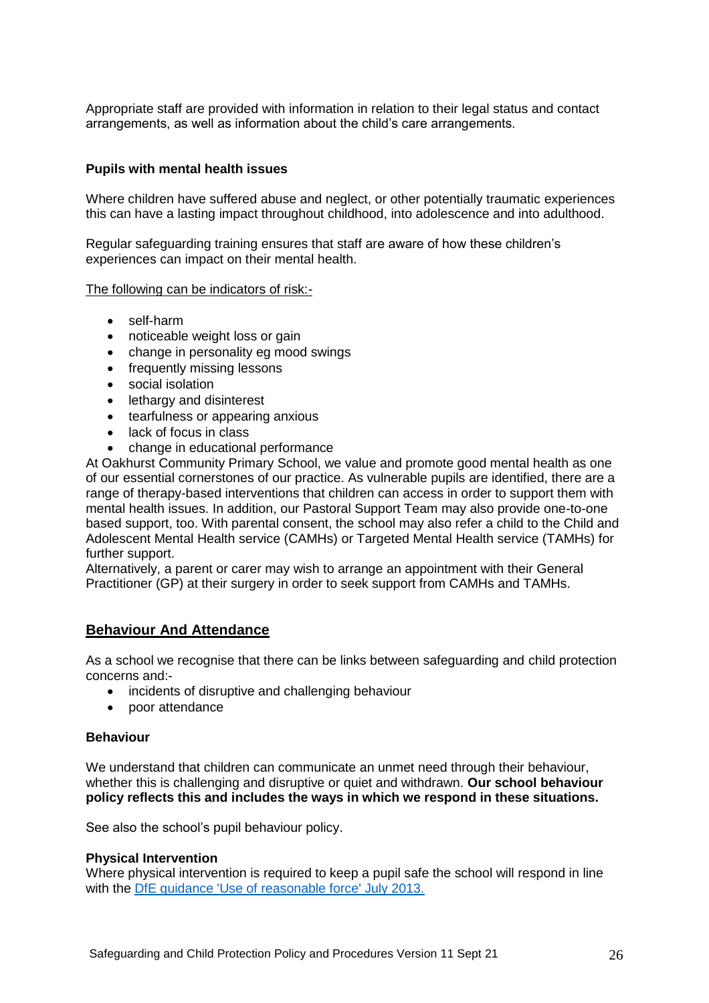Appropriate staff are provided with information in relation to their legal status and contact arrangements, as well as information about the child's care arrangements.

## **Pupils with mental health issues**

Where children have suffered abuse and neglect, or other potentially traumatic experiences this can have a lasting impact throughout childhood, into adolescence and into adulthood.

Regular safeguarding training ensures that staff are aware of how these children's experiences can impact on their mental health.

The following can be indicators of risk:-

- self-harm
- noticeable weight loss or gain
- change in personality eg mood swings
- frequently missing lessons
- social isolation
- lethargy and disinterest
- tearfulness or appearing anxious
- lack of focus in class
- change in educational performance

At Oakhurst Community Primary School, we value and promote good mental health as one of our essential cornerstones of our practice. As vulnerable pupils are identified, there are a range of therapy-based interventions that children can access in order to support them with mental health issues. In addition, our Pastoral Support Team may also provide one-to-one based support, too. With parental consent, the school may also refer a child to the Child and Adolescent Mental Health service (CAMHs) or Targeted Mental Health service (TAMHs) for further support.

Alternatively, a parent or carer may wish to arrange an appointment with their General Practitioner (GP) at their surgery in order to seek support from CAMHs and TAMHs.

## **Behaviour And Attendance**

As a school we recognise that there can be links between safeguarding and child protection concerns and:-

- incidents of disruptive and challenging behaviour
- poor attendance

### **Behaviour**

We understand that children can communicate an unmet need through their behaviour, whether this is challenging and disruptive or quiet and withdrawn. **Our school behaviour policy reflects this and includes the ways in which we respond in these situations.**

See also the school's pupil behaviour policy.

#### **Physical Intervention**

Where physical intervention is required to keep a pupil safe the school will respond in line with the [DfE guidance 'Use of reasonable force' July 2013.](https://www.gov.uk/government/publications/use-of-reasonable-force-in-schools)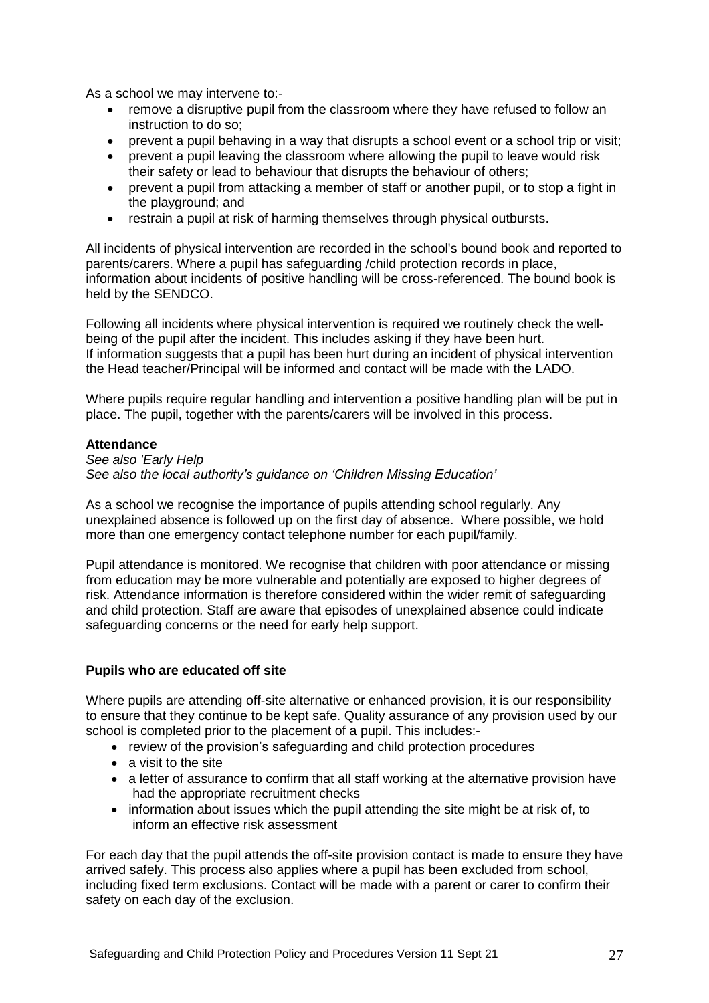As a school we may intervene to:-

- remove a disruptive pupil from the classroom where they have refused to follow an instruction to do so;
- prevent a pupil behaving in a way that disrupts a school event or a school trip or visit;
- prevent a pupil leaving the classroom where allowing the pupil to leave would risk their safety or lead to behaviour that disrupts the behaviour of others;
- prevent a pupil from attacking a member of staff or another pupil, or to stop a fight in the playground; and
- restrain a pupil at risk of harming themselves through physical outbursts.

All incidents of physical intervention are recorded in the school's bound book and reported to parents/carers. Where a pupil has safeguarding /child protection records in place, information about incidents of positive handling will be cross-referenced. The bound book is held by the SENDCO.

Following all incidents where physical intervention is required we routinely check the wellbeing of the pupil after the incident. This includes asking if they have been hurt. If information suggests that a pupil has been hurt during an incident of physical intervention the Head teacher/Principal will be informed and contact will be made with the LADO.

Where pupils require regular handling and intervention a positive handling plan will be put in place. The pupil, together with the parents/carers will be involved in this process.

### **Attendance**

*See also 'Early Help See also the local authority's guidance on 'Children Missing Education'*

As a school we recognise the importance of pupils attending school regularly. Any unexplained absence is followed up on the first day of absence. Where possible, we hold more than one emergency contact telephone number for each pupil/family.

Pupil attendance is monitored. We recognise that children with poor attendance or missing from education may be more vulnerable and potentially are exposed to higher degrees of risk. Attendance information is therefore considered within the wider remit of safeguarding and child protection. Staff are aware that episodes of unexplained absence could indicate safeguarding concerns or the need for early help support.

## **Pupils who are educated off site**

Where pupils are attending off-site alternative or enhanced provision, it is our responsibility to ensure that they continue to be kept safe. Quality assurance of any provision used by our school is completed prior to the placement of a pupil. This includes:-

- review of the provision's safeguarding and child protection procedures
- a visit to the site
- a letter of assurance to confirm that all staff working at the alternative provision have had the appropriate recruitment checks
- information about issues which the pupil attending the site might be at risk of, to inform an effective risk assessment

For each day that the pupil attends the off-site provision contact is made to ensure they have arrived safely. This process also applies where a pupil has been excluded from school, including fixed term exclusions. Contact will be made with a parent or carer to confirm their safety on each day of the exclusion.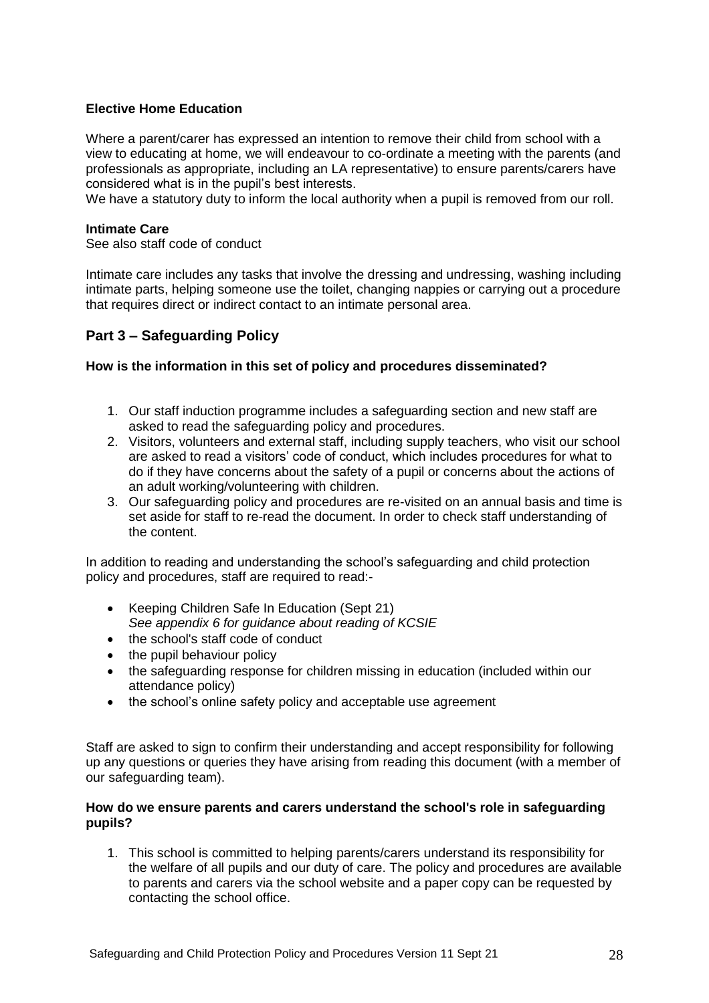## **Elective Home Education**

Where a parent/carer has expressed an intention to remove their child from school with a view to educating at home, we will endeavour to co-ordinate a meeting with the parents (and professionals as appropriate, including an LA representative) to ensure parents/carers have considered what is in the pupil's best interests.

We have a statutory duty to inform the local authority when a pupil is removed from our roll.

#### **Intimate Care**

See also staff code of conduct

Intimate care includes any tasks that involve the dressing and undressing, washing including intimate parts, helping someone use the toilet, changing nappies or carrying out a procedure that requires direct or indirect contact to an intimate personal area.

## **Part 3 – Safeguarding Policy**

### **How is the information in this set of policy and procedures disseminated?**

- 1. Our staff induction programme includes a safeguarding section and new staff are asked to read the safeguarding policy and procedures.
- 2. Visitors, volunteers and external staff, including supply teachers, who visit our school are asked to read a visitors' code of conduct, which includes procedures for what to do if they have concerns about the safety of a pupil or concerns about the actions of an adult working/volunteering with children.
- 3. Our safeguarding policy and procedures are re-visited on an annual basis and time is set aside for staff to re-read the document. In order to check staff understanding of the content.

In addition to reading and understanding the school's safeguarding and child protection policy and procedures, staff are required to read:-

- Keeping Children Safe In Education (Sept 21) *See appendix 6 for guidance about reading of KCSIE*
- the school's staff code of conduct
- the pupil behaviour policy
- the safeguarding response for children missing in education (included within our attendance policy)
- the school's online safety policy and acceptable use agreement

Staff are asked to sign to confirm their understanding and accept responsibility for following up any questions or queries they have arising from reading this document (with a member of our safeguarding team).

### **How do we ensure parents and carers understand the school's role in safeguarding pupils?**

1. This school is committed to helping parents/carers understand its responsibility for the welfare of all pupils and our duty of care. The policy and procedures are available to parents and carers via the school website and a paper copy can be requested by contacting the school office.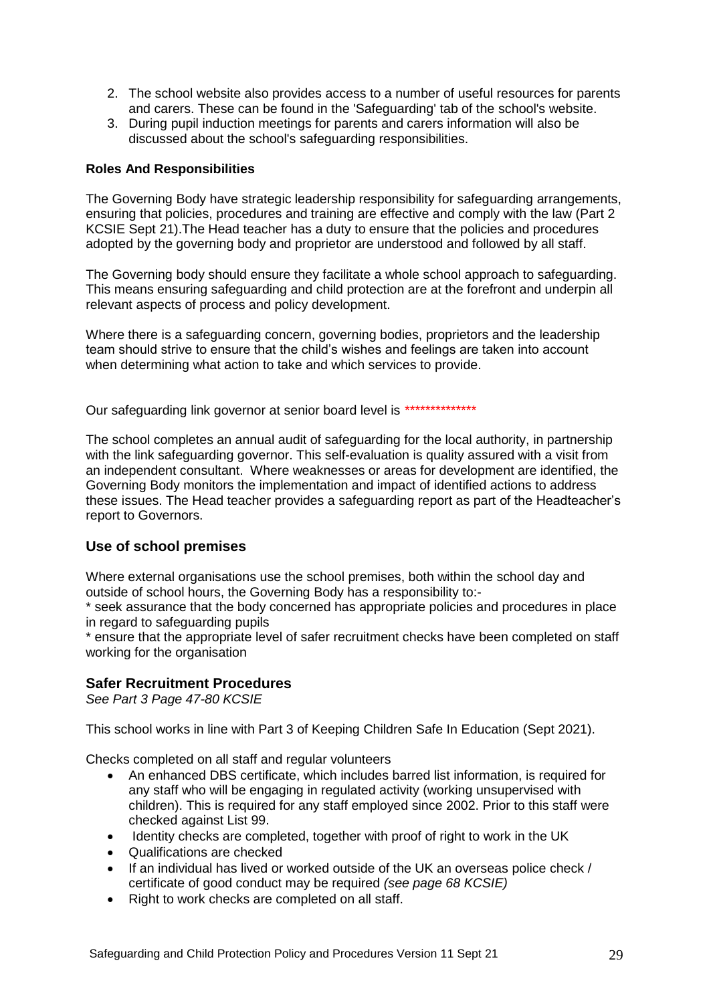- 2. The school website also provides access to a number of useful resources for parents and carers. These can be found in the 'Safeguarding' tab of the school's website.
- 3. During pupil induction meetings for parents and carers information will also be discussed about the school's safeguarding responsibilities.

## **Roles And Responsibilities**

The Governing Body have strategic leadership responsibility for safeguarding arrangements, ensuring that policies, procedures and training are effective and comply with the law (Part 2 KCSIE Sept 21).The Head teacher has a duty to ensure that the policies and procedures adopted by the governing body and proprietor are understood and followed by all staff.

The Governing body should ensure they facilitate a whole school approach to safeguarding. This means ensuring safeguarding and child protection are at the forefront and underpin all relevant aspects of process and policy development.

Where there is a safeguarding concern, governing bodies, proprietors and the leadership team should strive to ensure that the child's wishes and feelings are taken into account when determining what action to take and which services to provide.

Our safeguarding link governor at senior board level is *\*\*\*\*\*\*\*\*\*\*\*\*\*\**

The school completes an annual audit of safeguarding for the local authority, in partnership with the link safeguarding governor. This self-evaluation is quality assured with a visit from an independent consultant. Where weaknesses or areas for development are identified, the Governing Body monitors the implementation and impact of identified actions to address these issues. The Head teacher provides a safeguarding report as part of the Headteacher's report to Governors.

## **Use of school premises**

Where external organisations use the school premises, both within the school day and outside of school hours, the Governing Body has a responsibility to:-

\* seek assurance that the body concerned has appropriate policies and procedures in place in regard to safeguarding pupils

\* ensure that the appropriate level of safer recruitment checks have been completed on staff working for the organisation

## **Safer Recruitment Procedures**

*See Part 3 Page 47-80 KCSIE* 

This school works in line with Part 3 of Keeping Children Safe In Education (Sept 2021).

Checks completed on all staff and regular volunteers

- An enhanced DBS certificate, which includes barred list information, is required for any staff who will be engaging in regulated activity (working unsupervised with children). This is required for any staff employed since 2002. Prior to this staff were checked against List 99.
- Identity checks are completed, together with proof of right to work in the UK
- Qualifications are checked
- If an individual has lived or worked outside of the UK an overseas police check / certificate of good conduct may be required *(see page 68 KCSIE)*
- Right to work checks are completed on all staff.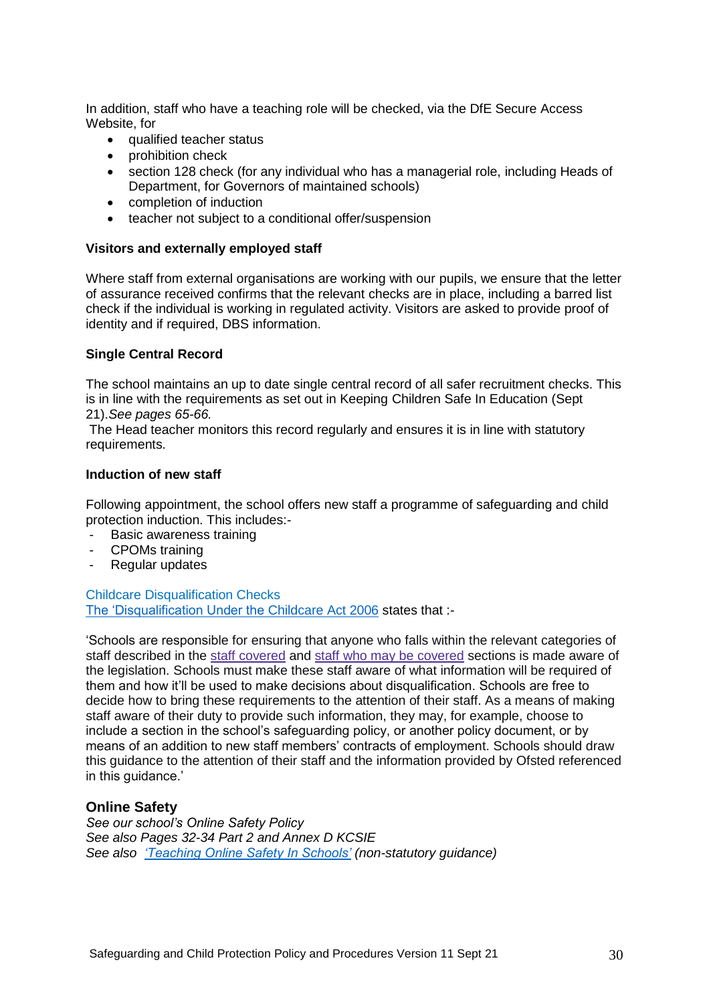In addition, staff who have a teaching role will be checked, via the DfE Secure Access Website, for

- qualified teacher status
- prohibition check
- section 128 check (for any individual who has a managerial role, including Heads of Department, for Governors of maintained schools)
- completion of induction
- teacher not subject to a conditional offer/suspension

## **Visitors and externally employed staff**

Where staff from external organisations are working with our pupils, we ensure that the letter of assurance received confirms that the relevant checks are in place, including a barred list check if the individual is working in regulated activity. Visitors are asked to provide proof of identity and if required, DBS information.

## **Single Central Record**

The school maintains an up to date single central record of all safer recruitment checks. This is in line with the requirements as set out in Keeping Children Safe In Education (Sept 21).*See pages 65-66.*

The Head teacher monitors this record regularly and ensures it is in line with statutory requirements.

#### **Induction of new staff**

Following appointment, the school offers new staff a programme of safeguarding and child protection induction. This includes:-

- Basic awareness training
- CPOMs training
- Regular updates

Childcare Disqualification Checks [The 'Disqualification Under the Childcare](https://www.gov.uk/government/publications/disqualification-under-the-childcare-act-2006/disqualification-under-the-childcare-act-2006#staff-covered) Act 2006 states that :-

'Schools are responsible for ensuring that anyone who falls within the relevant categories of staff described in the staff [covered](https://www.gov.uk/government/publications/disqualification-under-the-childcare-act-2006/disqualification-under-the-childcare-act-2006#staff-may-covered) and staff who may be covered sections is made aware of the legislation. Schools must make these staff aware of what information will be required of them and how it'll be used to make decisions about disqualification. Schools are free to decide how to bring these requirements to the attention of their staff. As a means of making staff aware of their duty to provide such information, they may, for example, choose to include a section in the school's safeguarding policy, or another policy document, or by means of an addition to new staff members' contracts of employment. Schools should draw this guidance to the attention of their staff and the information provided by Ofsted referenced in this guidance.'

## **Online Safety**

*See our school's Online Safety Policy See also Pages 32-34 Part 2 and Annex D KCSIE See also ['Teaching Online Safety In Schools'](https://www.gov.uk/government/publications/teaching-online-safety-in-schools) (non-statutory guidance)*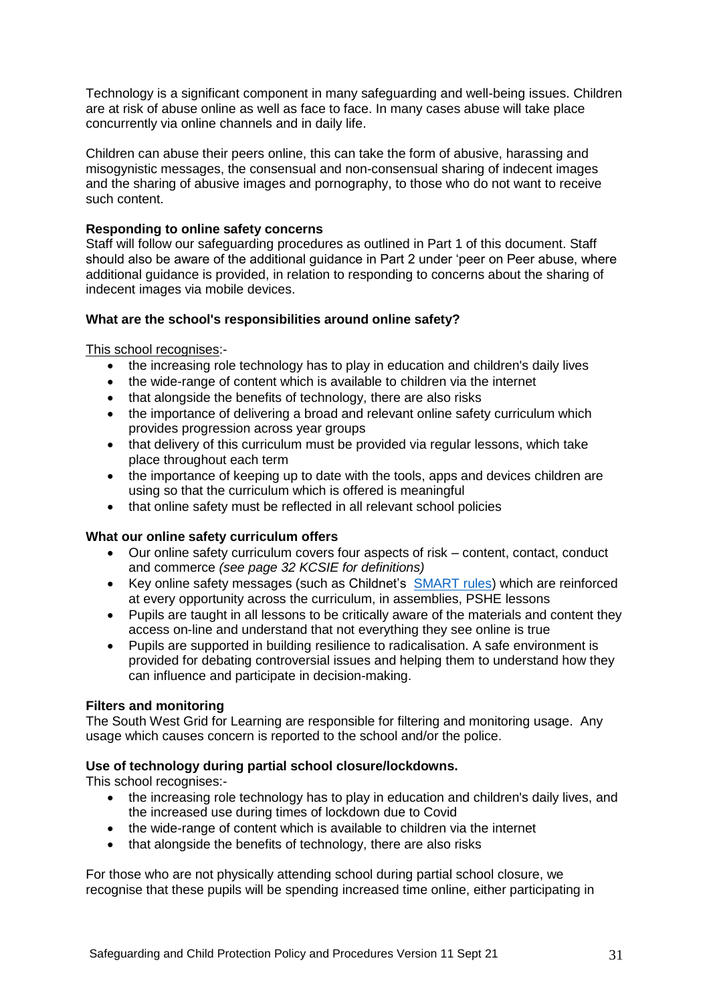Technology is a significant component in many safeguarding and well-being issues. Children are at risk of abuse online as well as face to face. In many cases abuse will take place concurrently via online channels and in daily life.

Children can abuse their peers online, this can take the form of abusive, harassing and misogynistic messages, the consensual and non-consensual sharing of indecent images and the sharing of abusive images and pornography, to those who do not want to receive such content.

## **Responding to online safety concerns**

Staff will follow our safeguarding procedures as outlined in Part 1 of this document. Staff should also be aware of the additional guidance in Part 2 under 'peer on Peer abuse, where additional guidance is provided, in relation to responding to concerns about the sharing of indecent images via mobile devices.

### **What are the school's responsibilities around online safety?**

This school recognises:-

- the increasing role technology has to play in education and children's daily lives
- the wide-range of content which is available to children via the internet
- that alongside the benefits of technology, there are also risks
- the importance of delivering a broad and relevant online safety curriculum which provides progression across year groups
- that delivery of this curriculum must be provided via regular lessons, which take place throughout each term
- the importance of keeping up to date with the tools, apps and devices children are using so that the curriculum which is offered is meaningful
- that online safety must be reflected in all relevant school policies

#### **What our online safety curriculum offers**

- Our online safety curriculum covers four aspects of risk content, contact, conduct and commerce *(see page 32 KCSIE for definitions)*
- Key online safety messages (such as Childnet's [SMART rules\)](https://www.childnet.com/resources/be-smart-online) which are reinforced at every opportunity across the curriculum, in assemblies, PSHE lessons
- Pupils are taught in all lessons to be critically aware of the materials and content they access on-line and understand that not everything they see online is true
- Pupils are supported in building resilience to radicalisation. A safe environment is provided for debating controversial issues and helping them to understand how they can influence and participate in decision-making.

#### **Filters and monitoring**

The South West Grid for Learning are responsible for filtering and monitoring usage. Any usage which causes concern is reported to the school and/or the police.

#### **Use of technology during partial school closure/lockdowns.**

This school recognises:-

- the increasing role technology has to play in education and children's daily lives, and the increased use during times of lockdown due to Covid
- the wide-range of content which is available to children via the internet
- that alongside the benefits of technology, there are also risks

For those who are not physically attending school during partial school closure, we recognise that these pupils will be spending increased time online, either participating in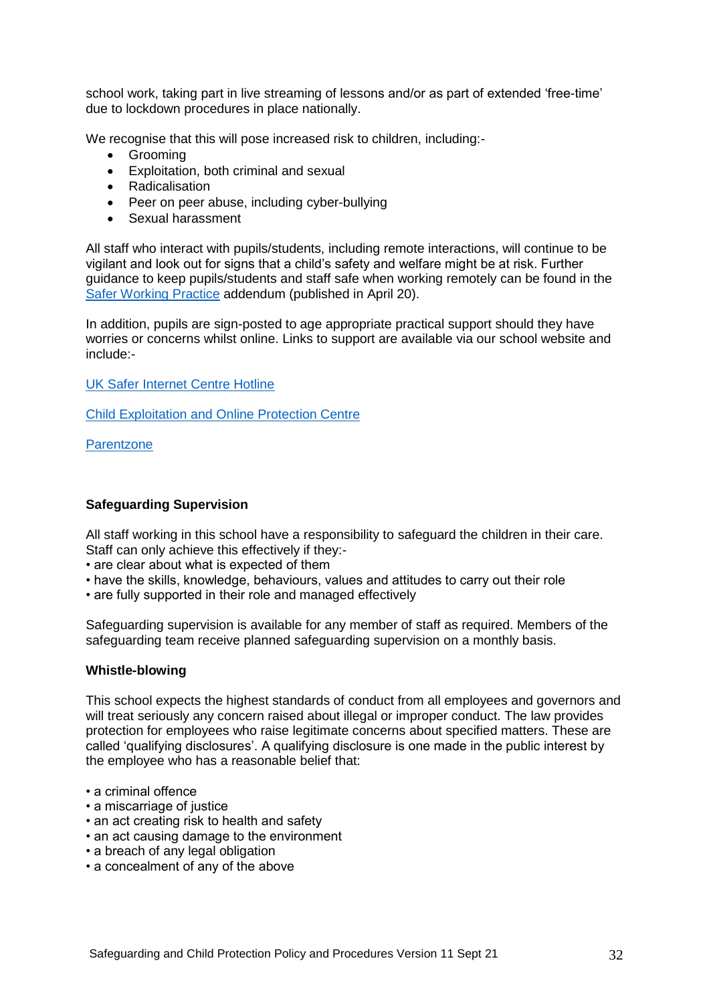school work, taking part in live streaming of lessons and/or as part of extended 'free-time' due to lockdown procedures in place nationally.

We recognise that this will pose increased risk to children, including:-

- Grooming
- Exploitation, both criminal and sexual
- Radicalisation
- Peer on peer abuse, including cyber-bullying
- Sexual harassment

All staff who interact with pupils/students, including remote interactions, will continue to be vigilant and look out for signs that a child's safety and welfare might be at risk. Further guidance to keep pupils/students and staff safe when working remotely can be found in the [Safer Working Practice](https://www.saferrecruitmentconsortium.org/GSWP%20COVID%20addendum%20April%202020%20final-1.pdf) addendum (published in April 20).

In addition, pupils are sign-posted to age appropriate practical support should they have worries or concerns whilst online. Links to support are available via our school website and include:-

[UK Safer Internet Centre Hotline](https://www.saferinternet.org.uk/hotline)

[Child Exploitation and Online Protection Centre](https://www.ceop.police.uk/safety-centre/)

**[Parentzone](https://parentzone.org.uk/home)** 

## **Safeguarding Supervision**

All staff working in this school have a responsibility to safeguard the children in their care. Staff can only achieve this effectively if they:-

- are clear about what is expected of them
- have the skills, knowledge, behaviours, values and attitudes to carry out their role
- are fully supported in their role and managed effectively

Safeguarding supervision is available for any member of staff as required. Members of the safeguarding team receive planned safeguarding supervision on a monthly basis.

#### **Whistle-blowing**

This school expects the highest standards of conduct from all employees and governors and will treat seriously any concern raised about illegal or improper conduct. The law provides protection for employees who raise legitimate concerns about specified matters. These are called 'qualifying disclosures'. A qualifying disclosure is one made in the public interest by the employee who has a reasonable belief that:

- a criminal offence
- a miscarriage of justice
- an act creating risk to health and safety
- an act causing damage to the environment
- a breach of any legal obligation
- a concealment of any of the above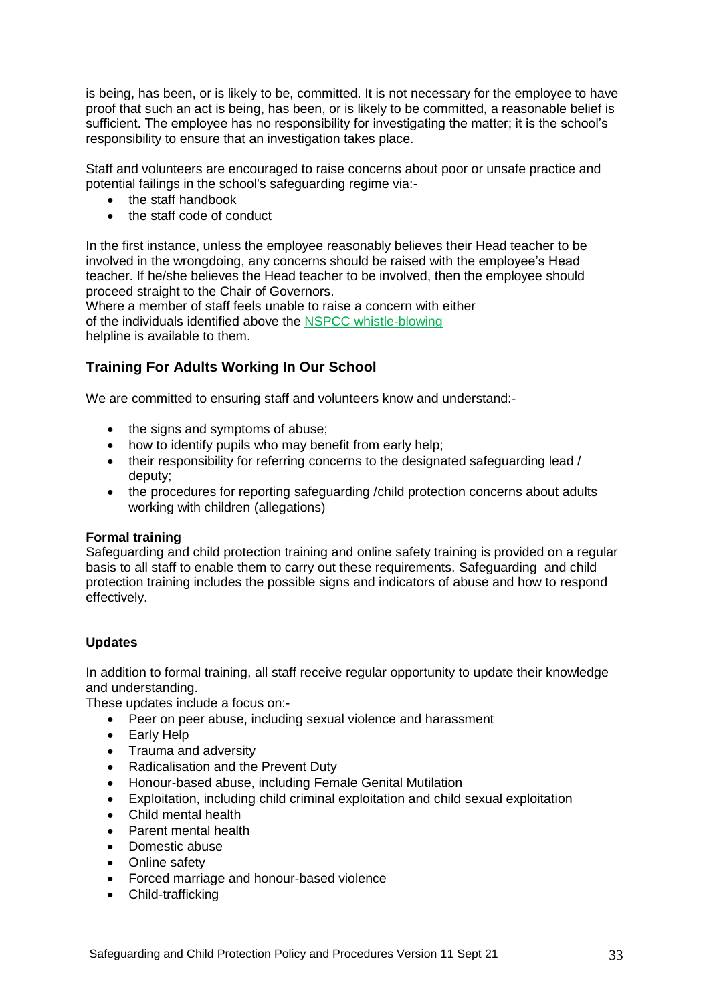is being, has been, or is likely to be, committed. It is not necessary for the employee to have proof that such an act is being, has been, or is likely to be committed, a reasonable belief is sufficient. The employee has no responsibility for investigating the matter; it is the school's responsibility to ensure that an investigation takes place.

Staff and volunteers are encouraged to raise concerns about poor or unsafe practice and potential failings in the school's safeguarding regime via:-

- the staff handbook
- the staff code of conduct

In the first instance, unless the employee reasonably believes their Head teacher to be involved in the wrongdoing, any concerns should be raised with the employee's Head teacher. If he/she believes the Head teacher to be involved, then the employee should proceed straight to the Chair of Governors.

Where a member of staff feels unable to raise a concern with either of the individuals identified above the [NSPCC whistle-blowing](https://www.nspcc.org.uk/what-you-can-do/report-abuse/dedicated-helplines/whistleblowing-advice-line/) helpline is available to them.

## **Training For Adults Working In Our School**

We are committed to ensuring staff and volunteers know and understand:-

- the signs and symptoms of abuse;
- how to identify pupils who may benefit from early help;
- their responsibility for referring concerns to the designated safeguarding lead / deputy;
- the procedures for reporting safeguarding /child protection concerns about adults working with children (allegations)

## **Formal training**

Safeguarding and child protection training and online safety training is provided on a regular basis to all staff to enable them to carry out these requirements. Safeguarding and child protection training includes the possible signs and indicators of abuse and how to respond effectively.

## **Updates**

In addition to formal training, all staff receive regular opportunity to update their knowledge and understanding.

These updates include a focus on:-

- Peer on peer abuse, including sexual violence and harassment
- Early Help
- Trauma and adversity
- Radicalisation and the Prevent Duty
- Honour-based abuse, including Female Genital Mutilation
- Exploitation, including child criminal exploitation and child sexual exploitation
- Child mental health
- Parent mental health
- Domestic abuse
- Online safety
- Forced marriage and honour-based violence
- Child-trafficking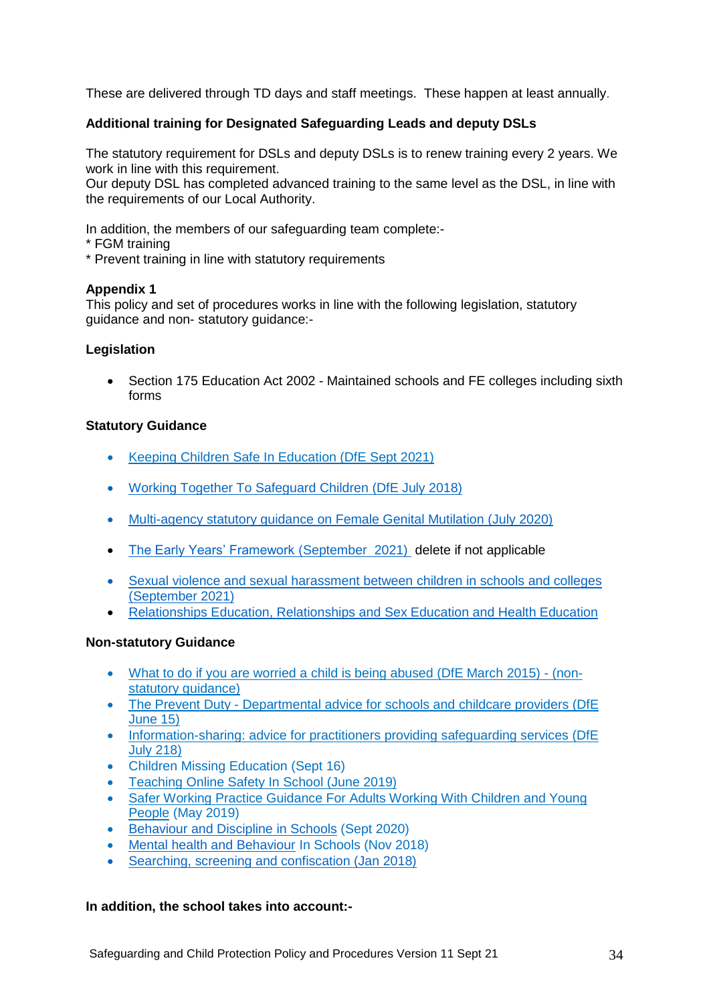These are delivered through TD days and staff meetings. These happen at least annually.

## **Additional training for Designated Safeguarding Leads and deputy DSLs**

The statutory requirement for DSLs and deputy DSLs is to renew training every 2 years. We work in line with this requirement.

Our deputy DSL has completed advanced training to the same level as the DSL, in line with the requirements of our Local Authority.

In addition, the members of our safeguarding team complete:-

- \* FGM training
- \* Prevent training in line with statutory requirements

## **Appendix 1**

This policy and set of procedures works in line with the following legislation, statutory guidance and non- statutory guidance:-

## **Legislation**

• Section 175 Education Act 2002 - Maintained schools and FE colleges including sixth forms

## **Statutory Guidance**

- Keeping Children [Safe In Education \(DfE Sept 2021\)](https://assets.publishing.service.gov.uk/government/uploads/system/uploads/attachment_data/file/999348/Keeping_children_safe_in_education_2021.pdf)
- [Working Together To Safeguard Children](https://assets.publishing.service.gov.uk/government/uploads/system/uploads/attachment_data/file/722305/Working_Together_to_Safeguard_Children_-_Guide.pdf) (DfE July 2018)
- [Multi-agency statutory guidance on Female Genital Mutilation \(July 2020\)](https://assets.publishing.service.gov.uk/government/uploads/system/uploads/attachment_data/file/800306/6-1914-HO-Multi_Agency_Statutory_Guidance.pdf)
- [The Early Years' Framework \(September 2021\)](https://assets.publishing.service.gov.uk/government/uploads/system/uploads/attachment_data/file/974907/EYFS_framework_-_March_2021.pdf) delete if not applicable
- [Sexual violence and sexual harassment between children](https://assets.publishing.service.gov.uk/government/uploads/system/uploads/attachment_data/file/999239/SVSH_2021.pdf) in schools and colleges [\(September 2021\)](https://assets.publishing.service.gov.uk/government/uploads/system/uploads/attachment_data/file/999239/SVSH_2021.pdf)
- [Relationships Education, Relationships and Sex Education and Health Education](https://www.gov.uk/government/publications/relationships-education-relationships-and-sex-education-rse-and-health-education)

## **Non-statutory Guidance**

- [What to do if you are worried a child](https://www.gov.uk/government/publications/what-to-do-if-youre-worried-a-child-is-being-abused--2) is being abused (DfE March 2015) (non[statutory guidance\)](https://www.gov.uk/government/publications/what-to-do-if-youre-worried-a-child-is-being-abused--2)
- The Prevent Duty Departmental advice for schools and childcare providers (DfE [June 15\)](https://www.gov.uk/government/uploads/system/uploads/attachment_data/file/439598/prevent-duty-departmental-advice-v6.pdf)
- [Information-sharing: advice for practitioners providing safeguarding services \(DfE](https://www.gov.uk/government/publications/safeguarding-practitioners-information-sharing-advice)  [July 218\)](https://www.gov.uk/government/publications/safeguarding-practitioners-information-sharing-advice)
- Children Missing Education (Sept 16)
- [Teaching Online Safety In School \(June 2019\)](https://www.gov.uk/government/publications/teaching-online-safety-in-schools)
- [Safer Working Practice Guidance For Adults Working With Children](https://www.saferrecruitmentconsortium.org/GSWP%20May%202019%20final.pdf) and Young [People](https://www.saferrecruitmentconsortium.org/GSWP%20May%202019%20final.pdf) (May 2019)
- **[Behaviour and Discipline in Schools](https://assets.publishing.service.gov.uk/government/uploads/system/uploads/attachment_data/file/488034/Behaviour_and_Discipline_in_Schools_-_A_guide_for_headteachers_and_School_Staff.pdf) (Sept 2020)**
- [Mental health and Behaviour](https://assets.publishing.service.gov.uk/government/uploads/system/uploads/attachment_data/file/755135/Mental_health_and_behaviour_in_schools__.pdf) In Schools (Nov 2018)
- [Searching, screening and confiscation \(Jan 2018\)](https://assets.publishing.service.gov.uk/government/uploads/system/uploads/attachment_data/file/674416/Searching_screening_and_confiscation.pdf)

## **In addition, the school takes into account:-**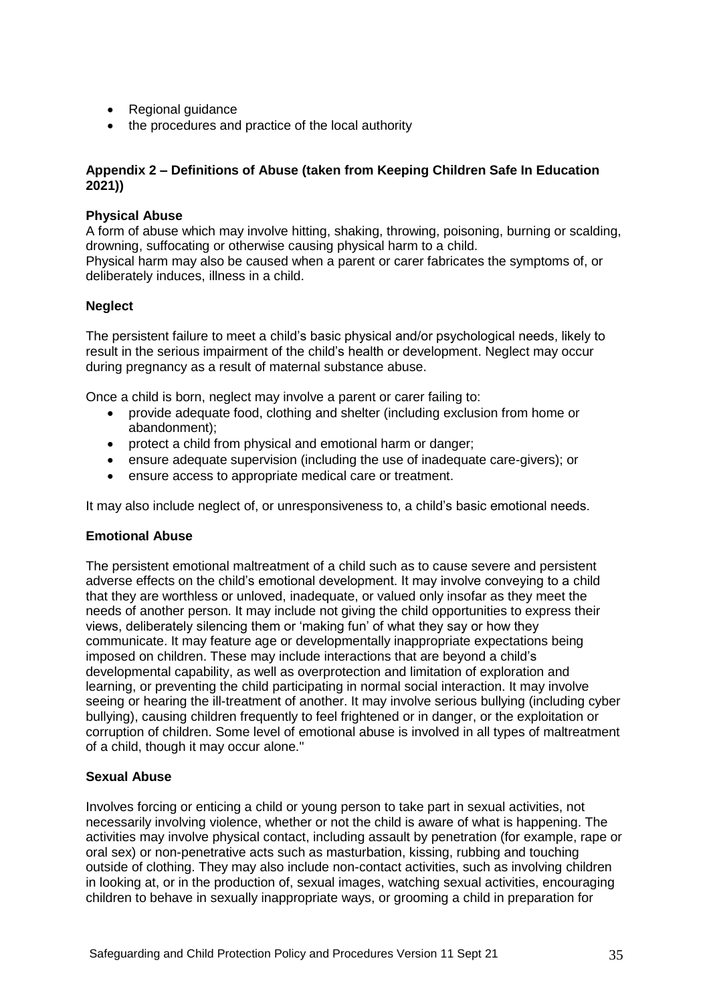- Regional guidance
- the procedures and practice of the local authority

## **Appendix 2 – Definitions of Abuse (taken from Keeping Children Safe In Education 2021))**

### **Physical Abuse**

A form of abuse which may involve hitting, shaking, throwing, poisoning, burning or scalding, drowning, suffocating or otherwise causing physical harm to a child. Physical harm may also be caused when a parent or carer fabricates the symptoms of, or deliberately induces, illness in a child.

## **Neglect**

The persistent failure to meet a child's basic physical and/or psychological needs, likely to result in the serious impairment of the child's health or development. Neglect may occur during pregnancy as a result of maternal substance abuse.

Once a child is born, neglect may involve a parent or carer failing to:

- provide adequate food, clothing and shelter (including exclusion from home or abandonment);
- protect a child from physical and emotional harm or danger;
- ensure adequate supervision (including the use of inadequate care-givers); or
- ensure access to appropriate medical care or treatment.

It may also include neglect of, or unresponsiveness to, a child's basic emotional needs.

## **Emotional Abuse**

The persistent emotional maltreatment of a child such as to cause severe and persistent adverse effects on the child's emotional development. It may involve conveying to a child that they are worthless or unloved, inadequate, or valued only insofar as they meet the needs of another person. It may include not giving the child opportunities to express their views, deliberately silencing them or 'making fun' of what they say or how they communicate. It may feature age or developmentally inappropriate expectations being imposed on children. These may include interactions that are beyond a child's developmental capability, as well as overprotection and limitation of exploration and learning, or preventing the child participating in normal social interaction. It may involve seeing or hearing the ill-treatment of another. It may involve serious bullying (including cyber bullying), causing children frequently to feel frightened or in danger, or the exploitation or corruption of children. Some level of emotional abuse is involved in all types of maltreatment of a child, though it may occur alone."

## **Sexual Abuse**

Involves forcing or enticing a child or young person to take part in sexual activities, not necessarily involving violence, whether or not the child is aware of what is happening. The activities may involve physical contact, including assault by penetration (for example, rape or oral sex) or non-penetrative acts such as masturbation, kissing, rubbing and touching outside of clothing. They may also include non-contact activities, such as involving children in looking at, or in the production of, sexual images, watching sexual activities, encouraging children to behave in sexually inappropriate ways, or grooming a child in preparation for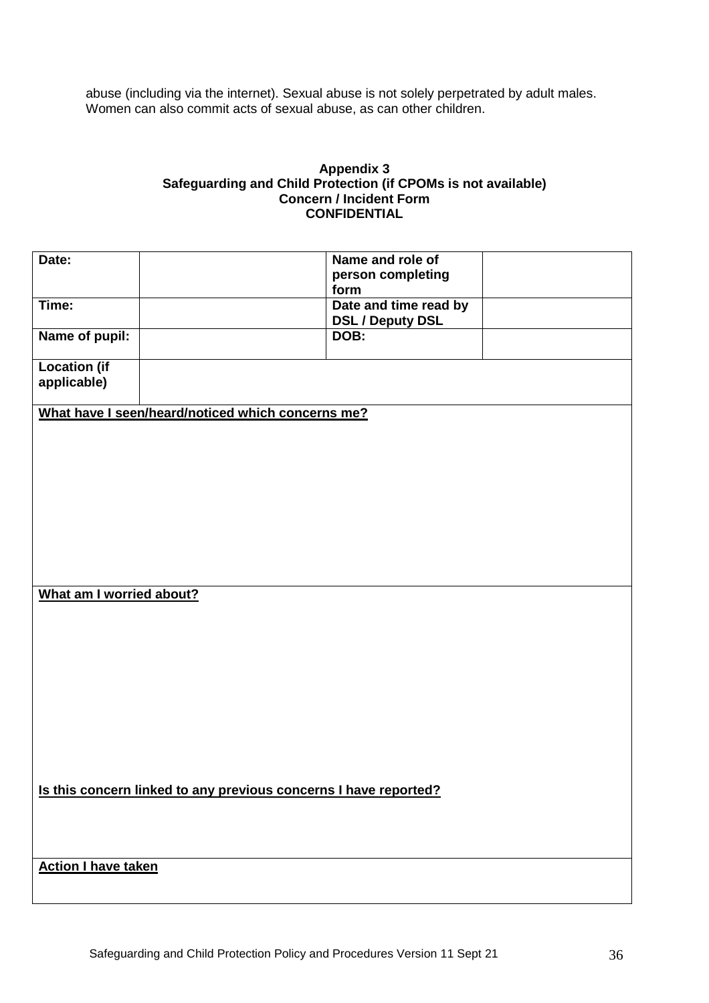abuse (including via the internet). Sexual abuse is not solely perpetrated by adult males. Women can also commit acts of sexual abuse, as can other children.

### **Appendix 3 Safeguarding and Child Protection (if CPOMs is not available) Concern / Incident Form CONFIDENTIAL**

| Date:                      |                                                                  | Name and role of        |  |
|----------------------------|------------------------------------------------------------------|-------------------------|--|
|                            |                                                                  | person completing       |  |
|                            |                                                                  | form                    |  |
| Time:                      |                                                                  | Date and time read by   |  |
|                            |                                                                  | <b>DSL / Deputy DSL</b> |  |
| Name of pupil:             |                                                                  | DOB:                    |  |
|                            |                                                                  |                         |  |
| <b>Location (if</b>        |                                                                  |                         |  |
| applicable)                |                                                                  |                         |  |
|                            |                                                                  |                         |  |
|                            | What have I seen/heard/noticed which concerns me?                |                         |  |
|                            |                                                                  |                         |  |
|                            |                                                                  |                         |  |
|                            |                                                                  |                         |  |
|                            |                                                                  |                         |  |
|                            |                                                                  |                         |  |
|                            |                                                                  |                         |  |
|                            |                                                                  |                         |  |
|                            |                                                                  |                         |  |
|                            |                                                                  |                         |  |
|                            |                                                                  |                         |  |
|                            |                                                                  |                         |  |
|                            |                                                                  |                         |  |
| What am I worried about?   |                                                                  |                         |  |
|                            |                                                                  |                         |  |
|                            |                                                                  |                         |  |
|                            |                                                                  |                         |  |
|                            |                                                                  |                         |  |
|                            |                                                                  |                         |  |
|                            |                                                                  |                         |  |
|                            |                                                                  |                         |  |
|                            |                                                                  |                         |  |
|                            |                                                                  |                         |  |
|                            |                                                                  |                         |  |
|                            |                                                                  |                         |  |
|                            |                                                                  |                         |  |
|                            |                                                                  |                         |  |
|                            | Is this concern linked to any previous concerns I have reported? |                         |  |
|                            |                                                                  |                         |  |
|                            |                                                                  |                         |  |
|                            |                                                                  |                         |  |
|                            |                                                                  |                         |  |
| <b>Action I have taken</b> |                                                                  |                         |  |
|                            |                                                                  |                         |  |
|                            |                                                                  |                         |  |
|                            |                                                                  |                         |  |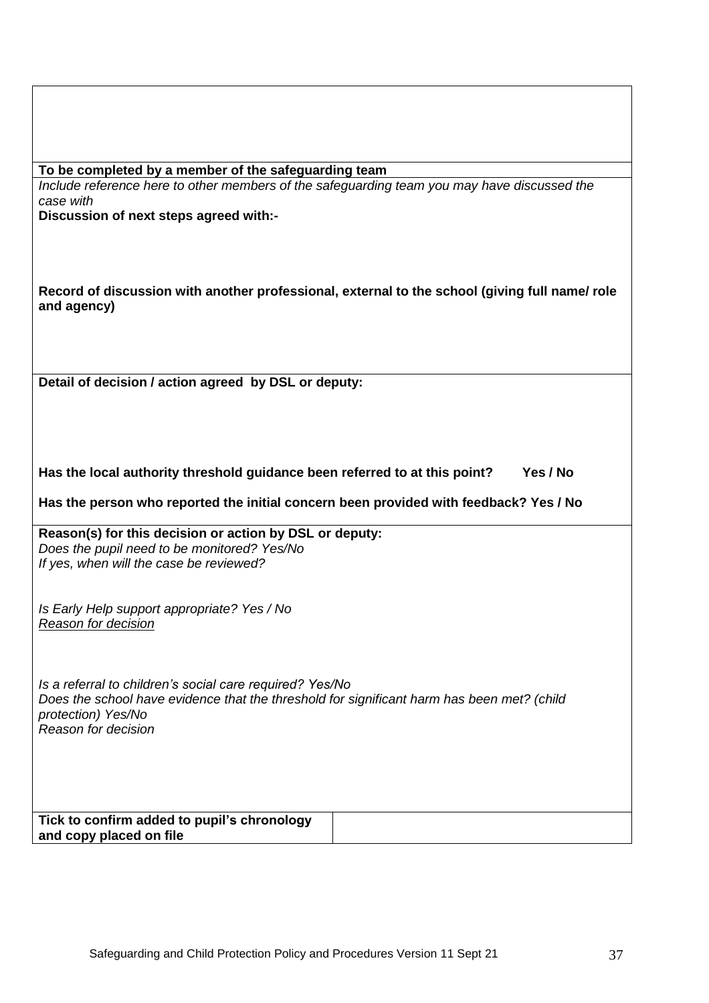| To be completed by a member of the safeguarding team<br>Include reference here to other members of the safeguarding team you may have discussed the                                                 |  |  |
|-----------------------------------------------------------------------------------------------------------------------------------------------------------------------------------------------------|--|--|
| case with                                                                                                                                                                                           |  |  |
| Discussion of next steps agreed with:-                                                                                                                                                              |  |  |
|                                                                                                                                                                                                     |  |  |
|                                                                                                                                                                                                     |  |  |
| Record of discussion with another professional, external to the school (giving full name/ role<br>and agency)                                                                                       |  |  |
|                                                                                                                                                                                                     |  |  |
| Detail of decision / action agreed by DSL or deputy:                                                                                                                                                |  |  |
|                                                                                                                                                                                                     |  |  |
|                                                                                                                                                                                                     |  |  |
|                                                                                                                                                                                                     |  |  |
| Yes / No<br>Has the local authority threshold guidance been referred to at this point?                                                                                                              |  |  |
| Has the person who reported the initial concern been provided with feedback? Yes / No                                                                                                               |  |  |
|                                                                                                                                                                                                     |  |  |
| Reason(s) for this decision or action by DSL or deputy:<br>Does the pupil need to be monitored? Yes/No<br>If yes, when will the case be reviewed?                                                   |  |  |
| Is Early Help support appropriate? Yes / No<br>Reason for decision                                                                                                                                  |  |  |
| Is a referral to children's social care required? Yes/No<br>Does the school have evidence that the threshold for significant harm has been met? (child<br>protection) Yes/No<br>Reason for decision |  |  |
|                                                                                                                                                                                                     |  |  |
| Tick to confirm added to pupil's chronology                                                                                                                                                         |  |  |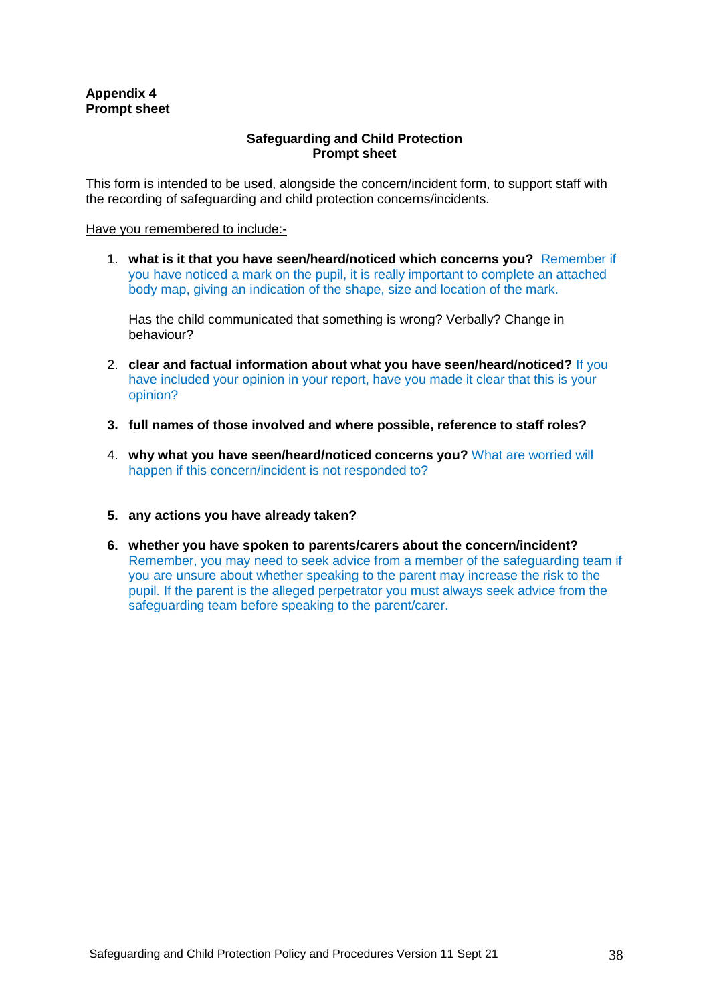### **Safeguarding and Child Protection Prompt sheet**

This form is intended to be used, alongside the concern/incident form, to support staff with the recording of safeguarding and child protection concerns/incidents.

Have you remembered to include:-

1. **what is it that you have seen/heard/noticed which concerns you?** Remember if you have noticed a mark on the pupil, it is really important to complete an attached body map, giving an indication of the shape, size and location of the mark.

Has the child communicated that something is wrong? Verbally? Change in behaviour?

- 2. **clear and factual information about what you have seen/heard/noticed?** If you have included your opinion in your report, have you made it clear that this is your opinion?
- **3. full names of those involved and where possible, reference to staff roles?**
- 4. **why what you have seen/heard/noticed concerns you?** What are worried will happen if this concern/incident is not responded to?
- **5. any actions you have already taken?**
- **6. whether you have spoken to parents/carers about the concern/incident?** Remember, you may need to seek advice from a member of the safeguarding team if you are unsure about whether speaking to the parent may increase the risk to the pupil. If the parent is the alleged perpetrator you must always seek advice from the safeguarding team before speaking to the parent/carer.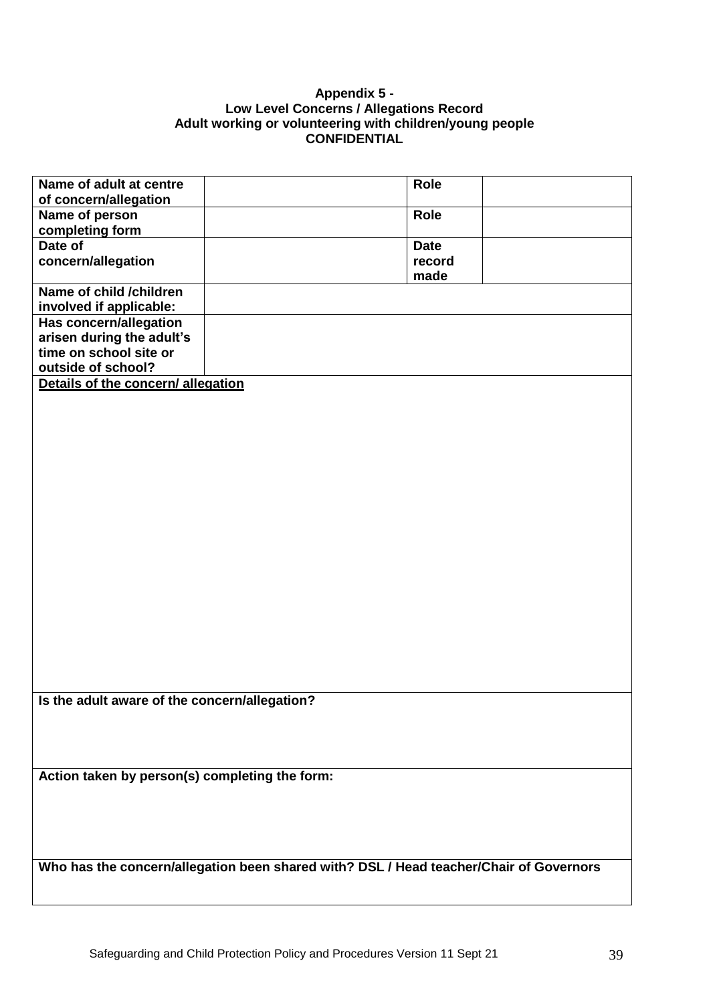## **Appendix 5 - Low Level Concerns / Allegations Record Adult working or volunteering with children/young people CONFIDENTIAL**

| Name of adult at centre                        |                                                                                        | Role        |
|------------------------------------------------|----------------------------------------------------------------------------------------|-------------|
| of concern/allegation                          |                                                                                        |             |
| Name of person                                 |                                                                                        | <b>Role</b> |
| completing form                                |                                                                                        |             |
| Date of                                        |                                                                                        | <b>Date</b> |
| concern/allegation                             |                                                                                        | record      |
|                                                |                                                                                        | made        |
| Name of child /children                        |                                                                                        |             |
| involved if applicable:                        |                                                                                        |             |
| Has concern/allegation                         |                                                                                        |             |
| arisen during the adult's                      |                                                                                        |             |
| time on school site or                         |                                                                                        |             |
| outside of school?                             |                                                                                        |             |
| Details of the concern/ allegation             |                                                                                        |             |
|                                                |                                                                                        |             |
|                                                |                                                                                        |             |
|                                                |                                                                                        |             |
|                                                |                                                                                        |             |
|                                                |                                                                                        |             |
|                                                |                                                                                        |             |
|                                                |                                                                                        |             |
|                                                |                                                                                        |             |
|                                                |                                                                                        |             |
|                                                |                                                                                        |             |
|                                                |                                                                                        |             |
|                                                |                                                                                        |             |
|                                                |                                                                                        |             |
|                                                |                                                                                        |             |
|                                                |                                                                                        |             |
|                                                |                                                                                        |             |
|                                                |                                                                                        |             |
|                                                |                                                                                        |             |
|                                                |                                                                                        |             |
|                                                |                                                                                        |             |
|                                                |                                                                                        |             |
| Is the adult aware of the concern/allegation?  |                                                                                        |             |
|                                                |                                                                                        |             |
|                                                |                                                                                        |             |
|                                                |                                                                                        |             |
|                                                |                                                                                        |             |
| Action taken by person(s) completing the form: |                                                                                        |             |
|                                                |                                                                                        |             |
|                                                |                                                                                        |             |
|                                                |                                                                                        |             |
|                                                |                                                                                        |             |
|                                                |                                                                                        |             |
|                                                |                                                                                        |             |
|                                                | Who has the concern/allegation been shared with? DSL / Head teacher/Chair of Governors |             |
|                                                |                                                                                        |             |
|                                                |                                                                                        |             |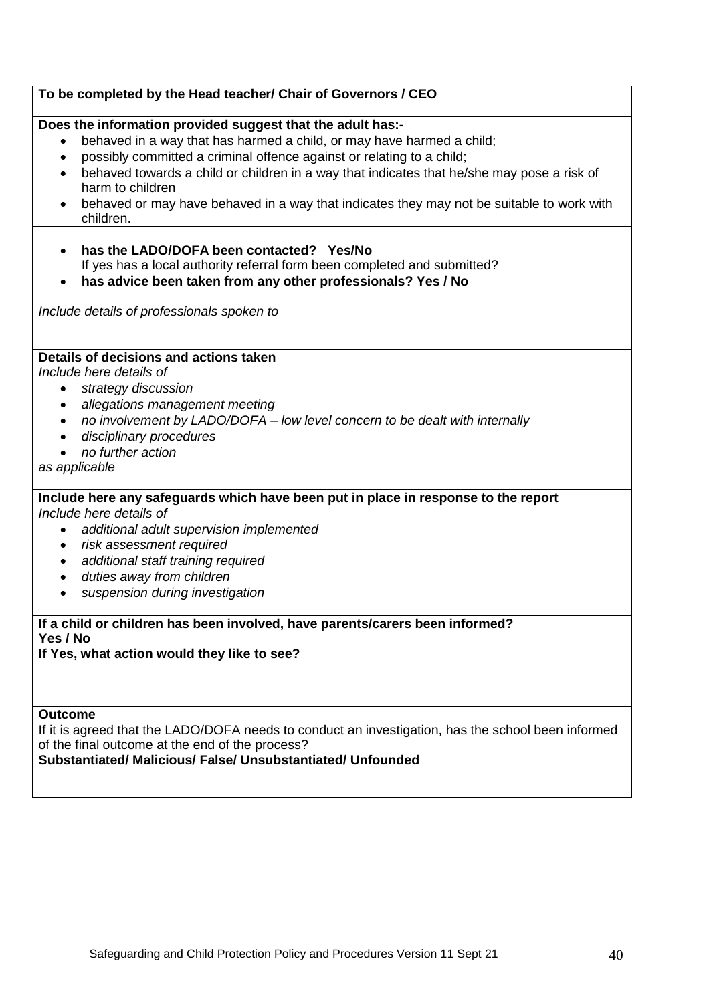# **To be completed by the Head teacher/ Chair of Governors / CEO Does the information provided suggest that the adult has:-** • behaved in a way that has harmed a child, or may have harmed a child; • possibly committed a criminal offence against or relating to a child; • behaved towards a child or children in a way that indicates that he/she may pose a risk of harm to children • behaved or may have behaved in a way that indicates they may not be suitable to work with children. • **has the LADO/DOFA been contacted? Yes/No**  If yes has a local authority referral form been completed and submitted? • **has advice been taken from any other professionals? Yes / No** *Include details of professionals spoken to*  **Details of decisions and actions taken** *Include here details of*  • *strategy discussion* • *allegations management meeting*  • *no involvement by LADO/DOFA – low level concern to be dealt with internally* • *disciplinary procedures* • *no further action as applicable* **Include here any safeguards which have been put in place in response to the report** *Include here details of* • *additional adult supervision implemented* • *risk assessment required* • *additional staff training required* • *duties away from children* • *suspension during investigation* **If a child or children has been involved, have parents/carers been informed? Yes / No If Yes, what action would they like to see? Outcome**

If it is agreed that the LADO/DOFA needs to conduct an investigation, has the school been informed of the final outcome at the end of the process? **Substantiated/ Malicious/ False/ Unsubstantiated/ Unfounded**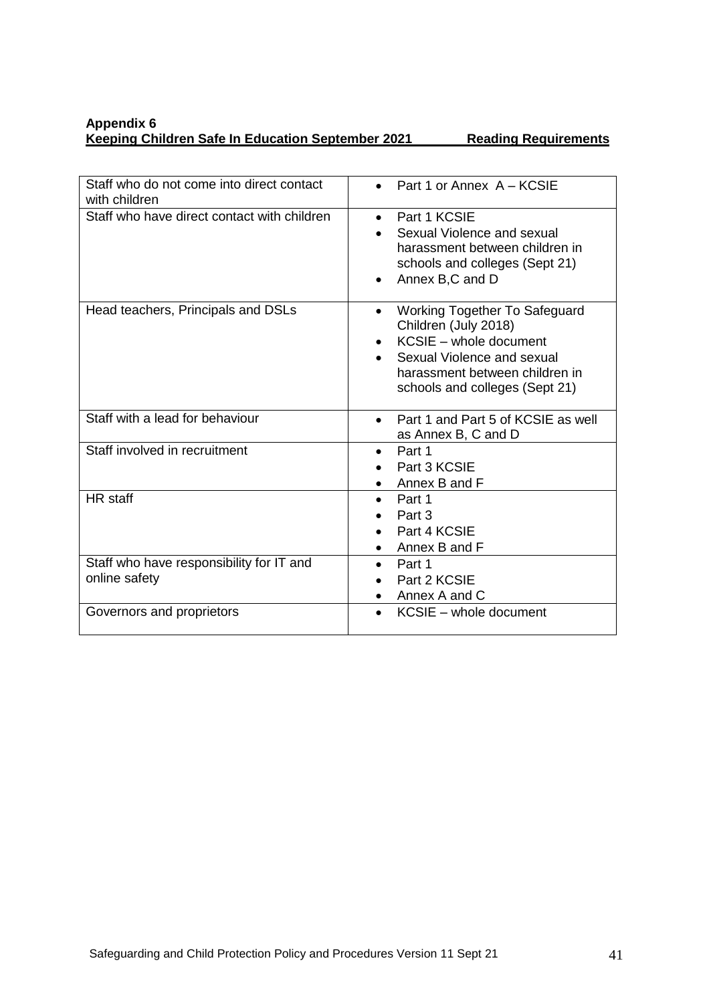| Staff who do not come into direct contact<br>with children | Part 1 or Annex A - KCSIE                                                                                                                                                                                          |
|------------------------------------------------------------|--------------------------------------------------------------------------------------------------------------------------------------------------------------------------------------------------------------------|
| Staff who have direct contact with children                | Part 1 KCSIE<br>$\bullet$<br>Sexual Violence and sexual<br>harassment between children in<br>schools and colleges (Sept 21)<br>Annex B,C and D<br>$\bullet$                                                        |
| Head teachers, Principals and DSLs                         | <b>Working Together To Safeguard</b><br>$\bullet$<br>Children (July 2018)<br>KCSIE - whole document<br>$\bullet$<br>Sexual Violence and sexual<br>harassment between children in<br>schools and colleges (Sept 21) |
| Staff with a lead for behaviour                            | Part 1 and Part 5 of KCSIE as well<br>$\bullet$<br>as Annex B, C and D                                                                                                                                             |
| Staff involved in recruitment                              | Part 1<br>Part 3 KCSIE<br>Annex B and F                                                                                                                                                                            |
| <b>HR</b> staff                                            | Part 1<br>Part 3<br>Part 4 KCSIE<br>Annex B and F                                                                                                                                                                  |
| Staff who have responsibility for IT and<br>online safety  | Part 1<br>$\bullet$<br>Part 2 KCSIE<br>Annex A and C                                                                                                                                                               |
| Governors and proprietors                                  | KCSIE - whole document                                                                                                                                                                                             |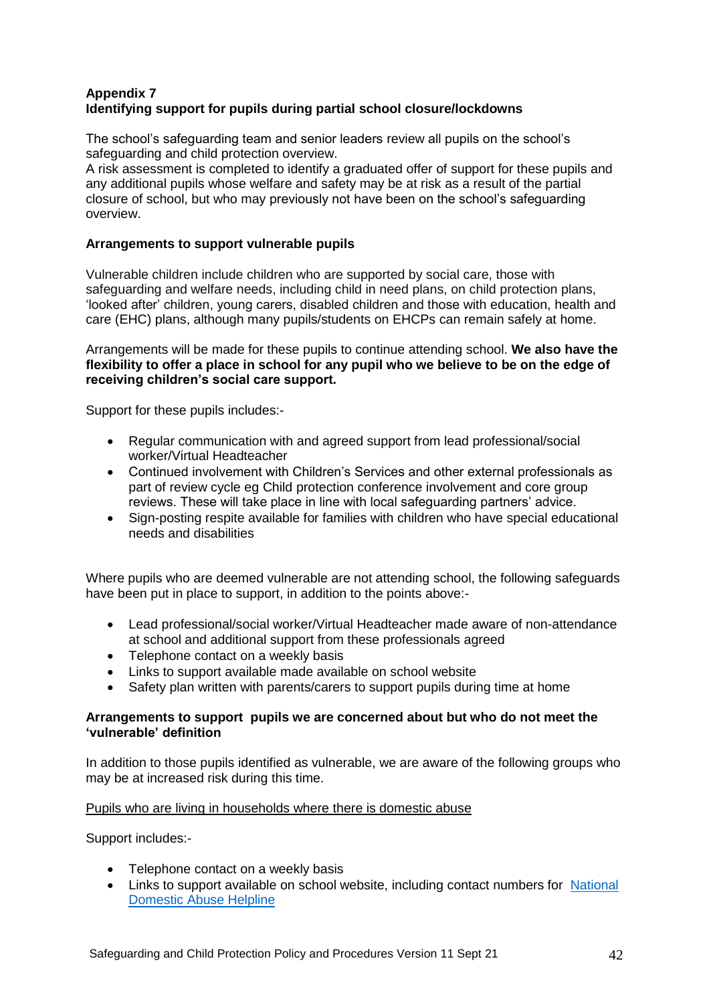## **Appendix 7 Identifying support for pupils during partial school closure/lockdowns**

The school's safeguarding team and senior leaders review all pupils on the school's safeguarding and child protection overview.

A risk assessment is completed to identify a graduated offer of support for these pupils and any additional pupils whose welfare and safety may be at risk as a result of the partial closure of school, but who may previously not have been on the school's safeguarding overview.

## **Arrangements to support vulnerable pupils**

Vulnerable children include children who are supported by social care, those with safeguarding and welfare needs, including child in need plans, on child protection plans, 'looked after' children, young carers, disabled children and those with [education,](https://www.gov.uk/children-with-special-educational-needs/extra-SEN-help) health and care [\(EHC\)](https://www.gov.uk/children-with-special-educational-needs/extra-SEN-help) plans, although many pupils/students on EHCPs can remain safely at home.

Arrangements will be made for these pupils to continue attending school. **We also have the flexibility to offer a place in school for any pupil who we believe to be on the edge of receiving children's social care support.**

Support for these pupils includes:-

- Regular communication with and agreed support from lead professional/social worker/Virtual Headteacher
- Continued involvement with Children's Services and other external professionals as part of review cycle eg Child protection conference involvement and core group reviews. These will take place in line with local safeguarding partners' advice.
- Sign-posting respite available for families with children who have special educational needs and disabilities

Where pupils who are deemed vulnerable are not attending school, the following safeguards have been put in place to support, in addition to the points above:-

- Lead professional/social worker/Virtual Headteacher made aware of non-attendance at school and additional support from these professionals agreed
- Telephone contact on a weekly basis
- Links to support available made available on school website
- Safety plan written with parents/carers to support pupils during time at home

### **Arrangements to support pupils we are concerned about but who do not meet the 'vulnerable' definition**

In addition to those pupils identified as vulnerable, we are aware of the following groups who may be at increased risk during this time.

#### Pupils who are living in households where there is domestic abuse

Support includes:-

- Telephone contact on a weekly basis
- Links to support available on school website, including contact numbers for National [Domestic Abuse Helpline](https://www.nationaldahelpline.org.uk/)